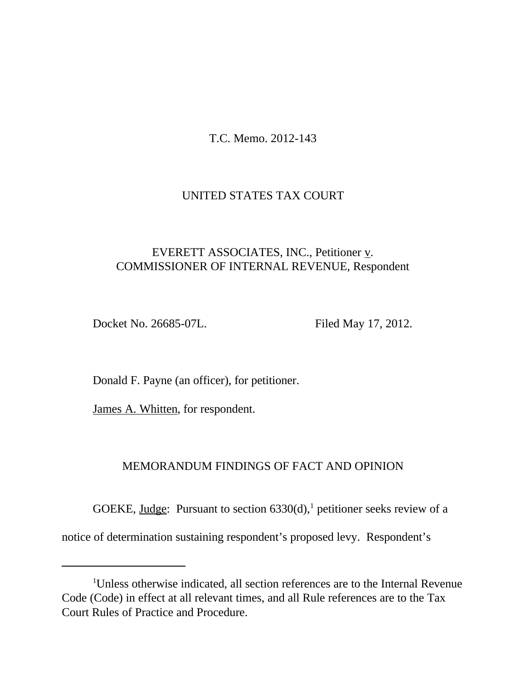T.C. Memo. 2012-143

# UNITED STATES TAX COURT

# EVERETT ASSOCIATES, INC., Petitioner v. COMMISSIONER OF INTERNAL REVENUE, Respondent

Docket No. 26685-07L. Filed May 17, 2012.

Donald F. Payne (an officer), for petitioner.

James A. Whitten, for respondent.

# MEMORANDUM FINDINGS OF FACT AND OPINION

GOEKE, Judge: Pursuant to section  $6330(d)$ , petitioner seeks review of a

notice of determination sustaining respondent's proposed levy. Respondent's

<sup>&</sup>lt;sup>1</sup>Unless otherwise indicated, all section references are to the Internal Revenue Code (Code) in effect at all relevant times, and all Rule references are to the Tax Court Rules of Practice and Procedure.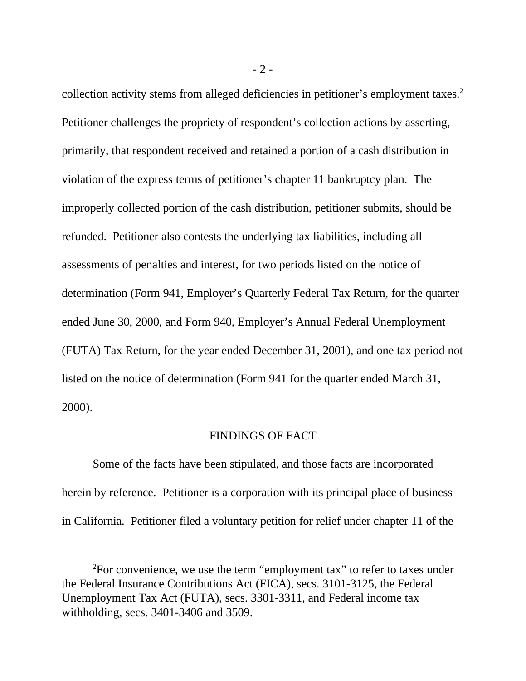collection activity stems from alleged deficiencies in petitioner's employment taxes.<sup>2</sup> Petitioner challenges the propriety of respondent's collection actions by asserting, primarily, that respondent received and retained a portion of a cash distribution in violation of the express terms of petitioner's chapter 11 bankruptcy plan. The improperly collected portion of the cash distribution, petitioner submits, should be refunded. Petitioner also contests the underlying tax liabilities, including all assessments of penalties and interest, for two periods listed on the notice of determination (Form 941, Employer's Quarterly Federal Tax Return, for the quarter ended June 30, 2000, and Form 940, Employer's Annual Federal Unemployment (FUTA) Tax Return, for the year ended December 31, 2001), and one tax period not listed on the notice of determination (Form 941 for the quarter ended March 31, 2000).

## FINDINGS OF FACT

Some of the facts have been stipulated, and those facts are incorporated herein by reference. Petitioner is a corporation with its principal place of business in California. Petitioner filed a voluntary petition for relief under chapter 11 of the

- 2 -

 $2$ For convenience, we use the term "employment tax" to refer to taxes under the Federal Insurance Contributions Act (FICA), secs. 3101-3125, the Federal Unemployment Tax Act (FUTA), secs. 3301-3311, and Federal income tax withholding, secs. 3401-3406 and 3509.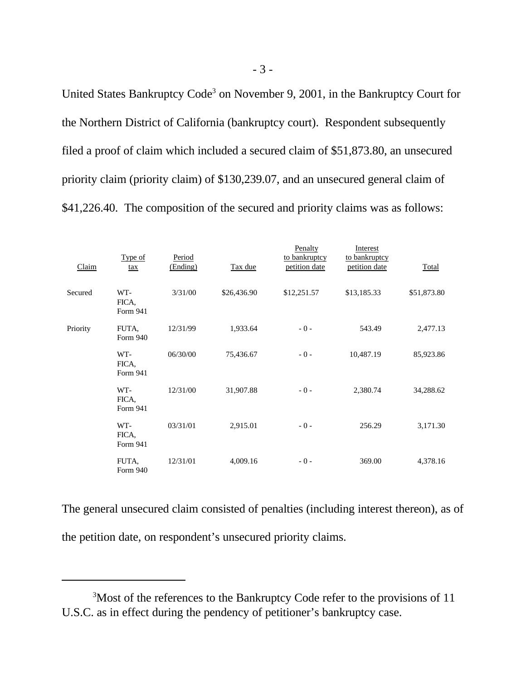United States Bankruptcy Code<sup>3</sup> on November 9, 2001, in the Bankruptcy Court for the Northern District of California (bankruptcy court). Respondent subsequently filed a proof of claim which included a secured claim of \$51,873.80, an unsecured priority claim (priority claim) of \$130,239.07, and an unsecured general claim of \$41,226.40. The composition of the secured and priority claims was as follows:

| Claim    | Type of<br>tax           | Period<br>(Ending) | Tax due     | Penalty<br>to bankruptcy<br>petition date | Interest<br>to bankruptcy<br>petition date | Total       |
|----------|--------------------------|--------------------|-------------|-------------------------------------------|--------------------------------------------|-------------|
| Secured  | WT-<br>FICA,<br>Form 941 | 3/31/00            | \$26,436.90 | \$12,251.57                               | \$13,185.33                                | \$51,873.80 |
| Priority | FUTA,<br>Form 940        | 12/31/99           | 1,933.64    | $-0-$                                     | 543.49                                     | 2,477.13    |
|          | WT-<br>FICA,<br>Form 941 | 06/30/00           | 75,436.67   | $-0-$                                     | 10,487.19                                  | 85,923.86   |
|          | WT-<br>FICA,<br>Form 941 | 12/31/00           | 31,907.88   | $-0-$                                     | 2,380.74                                   | 34,288.62   |
|          | WT-<br>FICA,<br>Form 941 | 03/31/01           | 2,915.01    | $-0-$                                     | 256.29                                     | 3,171.30    |
|          | FUTA,<br>Form 940        | 12/31/01           | 4,009.16    | $-0-$                                     | 369.00                                     | 4,378.16    |

The general unsecured claim consisted of penalties (including interest thereon), as of the petition date, on respondent's unsecured priority claims.

<sup>&</sup>lt;sup>3</sup>Most of the references to the Bankruptcy Code refer to the provisions of 11 U.S.C. as in effect during the pendency of petitioner's bankruptcy case.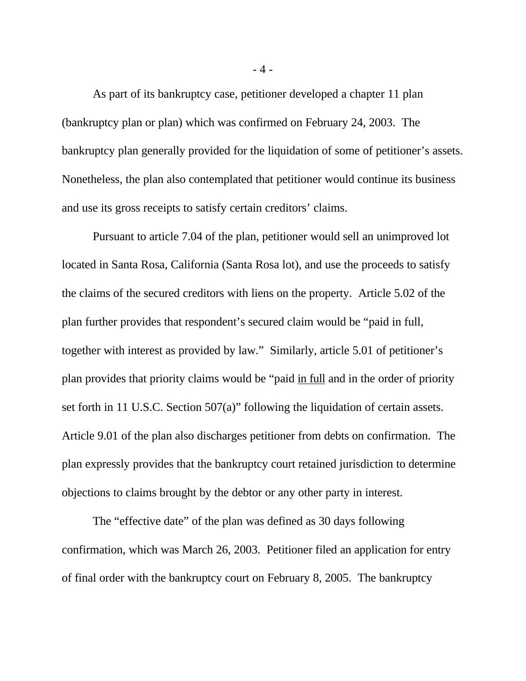As part of its bankruptcy case, petitioner developed a chapter 11 plan (bankruptcy plan or plan) which was confirmed on February 24, 2003. The bankruptcy plan generally provided for the liquidation of some of petitioner's assets. Nonetheless, the plan also contemplated that petitioner would continue its business and use its gross receipts to satisfy certain creditors' claims.

Pursuant to article 7.04 of the plan, petitioner would sell an unimproved lot located in Santa Rosa, California (Santa Rosa lot), and use the proceeds to satisfy the claims of the secured creditors with liens on the property. Article 5.02 of the plan further provides that respondent's secured claim would be "paid in full, together with interest as provided by law." Similarly, article 5.01 of petitioner's plan provides that priority claims would be "paid in full and in the order of priority set forth in 11 U.S.C. Section 507(a)" following the liquidation of certain assets. Article 9.01 of the plan also discharges petitioner from debts on confirmation. The plan expressly provides that the bankruptcy court retained jurisdiction to determine objections to claims brought by the debtor or any other party in interest.

The "effective date" of the plan was defined as 30 days following confirmation, which was March 26, 2003. Petitioner filed an application for entry of final order with the bankruptcy court on February 8, 2005. The bankruptcy

- 4 -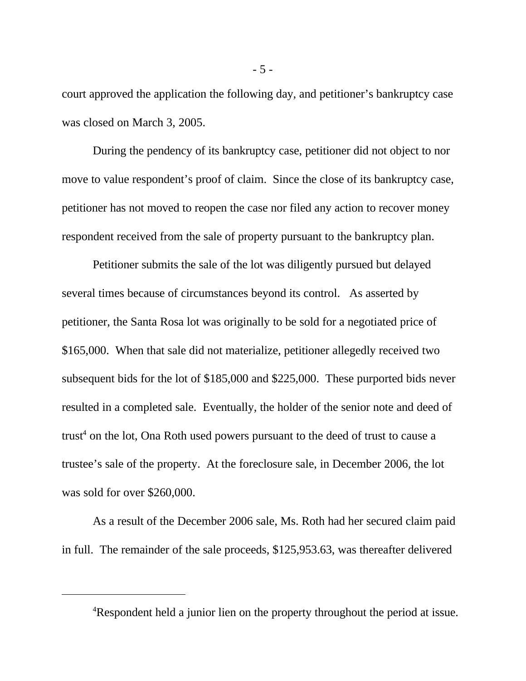court approved the application the following day, and petitioner's bankruptcy case was closed on March 3, 2005.

During the pendency of its bankruptcy case, petitioner did not object to nor move to value respondent's proof of claim. Since the close of its bankruptcy case, petitioner has not moved to reopen the case nor filed any action to recover money respondent received from the sale of property pursuant to the bankruptcy plan.

Petitioner submits the sale of the lot was diligently pursued but delayed several times because of circumstances beyond its control. As asserted by petitioner, the Santa Rosa lot was originally to be sold for a negotiated price of \$165,000. When that sale did not materialize, petitioner allegedly received two subsequent bids for the lot of \$185,000 and \$225,000. These purported bids never resulted in a completed sale. Eventually, the holder of the senior note and deed of trust<sup>4</sup> on the lot, Ona Roth used powers pursuant to the deed of trust to cause a trustee's sale of the property. At the foreclosure sale, in December 2006, the lot was sold for over \$260,000.

As a result of the December 2006 sale, Ms. Roth had her secured claim paid in full. The remainder of the sale proceeds, \$125,953.63, was thereafter delivered

- 5 -

<sup>4</sup>Respondent held a junior lien on the property throughout the period at issue.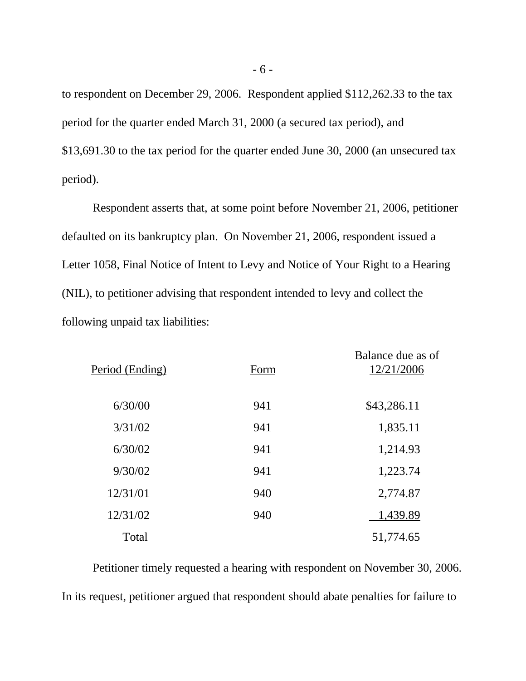to respondent on December 29, 2006. Respondent applied \$112,262.33 to the tax period for the quarter ended March 31, 2000 (a secured tax period), and \$13,691.30 to the tax period for the quarter ended June 30, 2000 (an unsecured tax period).

Respondent asserts that, at some point before November 21, 2006, petitioner defaulted on its bankruptcy plan. On November 21, 2006, respondent issued a Letter 1058, Final Notice of Intent to Levy and Notice of Your Right to a Hearing (NIL), to petitioner advising that respondent intended to levy and collect the following unpaid tax liabilities:

| Period (Ending) | Form | Balance due as of<br>12/21/2006 |
|-----------------|------|---------------------------------|
| 6/30/00         | 941  | \$43,286.11                     |
| 3/31/02         | 941  | 1,835.11                        |
| 6/30/02         | 941  | 1,214.93                        |
| 9/30/02         | 941  | 1,223.74                        |
| 12/31/01        | 940  | 2,774.87                        |
| 12/31/02        | 940  | 1,439.89                        |
| Total           |      | 51,774.65                       |

Petitioner timely requested a hearing with respondent on November 30, 2006. In its request, petitioner argued that respondent should abate penalties for failure to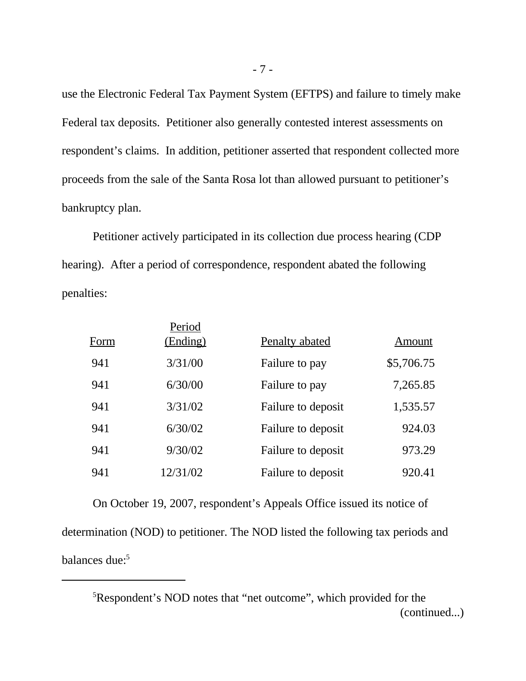use the Electronic Federal Tax Payment System (EFTPS) and failure to timely make Federal tax deposits. Petitioner also generally contested interest assessments on respondent's claims. In addition, petitioner asserted that respondent collected more proceeds from the sale of the Santa Rosa lot than allowed pursuant to petitioner's bankruptcy plan.

Petitioner actively participated in its collection due process hearing (CDP hearing). After a period of correspondence, respondent abated the following penalties:

|      | Period   |                    |            |
|------|----------|--------------------|------------|
| Form | (Ending) | Penalty abated     | Amount     |
| 941  | 3/31/00  | Failure to pay     | \$5,706.75 |
| 941  | 6/30/00  | Failure to pay     | 7,265.85   |
| 941  | 3/31/02  | Failure to deposit | 1,535.57   |
| 941  | 6/30/02  | Failure to deposit | 924.03     |
| 941  | 9/30/02  | Failure to deposit | 973.29     |
| 941  | 12/31/02 | Failure to deposit | 920.41     |

On October 19, 2007, respondent's Appeals Office issued its notice of determination (NOD) to petitioner. The NOD listed the following tax periods and balances due:<sup>5</sup>

<sup>5</sup>Respondent's NOD notes that "net outcome", which provided for the (continued...)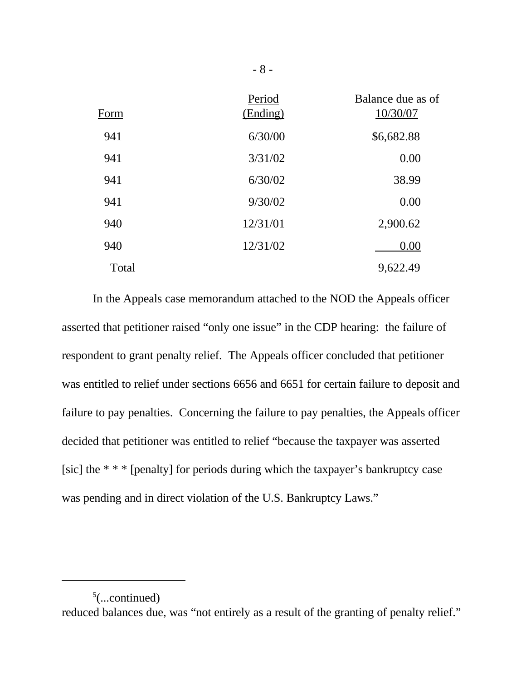| Form  | Period<br>(Ending) | Balance due as of<br>10/30/07 |
|-------|--------------------|-------------------------------|
| 941   | 6/30/00            | \$6,682.88                    |
| 941   | 3/31/02            | 0.00                          |
| 941   | 6/30/02            | 38.99                         |
| 941   | 9/30/02            | 0.00                          |
| 940   | 12/31/01           | 2,900.62                      |
| 940   | 12/31/02           | 0.00                          |
| Total |                    | 9,622.49                      |

In the Appeals case memorandum attached to the NOD the Appeals officer asserted that petitioner raised "only one issue" in the CDP hearing: the failure of respondent to grant penalty relief. The Appeals officer concluded that petitioner was entitled to relief under sections 6656 and 6651 for certain failure to deposit and failure to pay penalties. Concerning the failure to pay penalties, the Appeals officer decided that petitioner was entitled to relief "because the taxpayer was asserted [sic] the \* \* \* [penalty] for periods during which the taxpayer's bankruptcy case was pending and in direct violation of the U.S. Bankruptcy Laws."

 $5$ (...continued)

reduced balances due, was "not entirely as a result of the granting of penalty relief."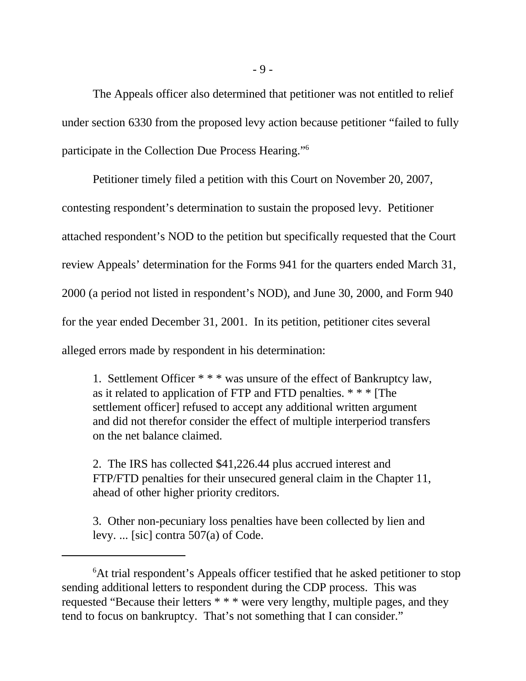The Appeals officer also determined that petitioner was not entitled to relief under section 6330 from the proposed levy action because petitioner "failed to fully participate in the Collection Due Process Hearing."<sup>6</sup>

Petitioner timely filed a petition with this Court on November 20, 2007, contesting respondent's determination to sustain the proposed levy. Petitioner attached respondent's NOD to the petition but specifically requested that the Court review Appeals' determination for the Forms 941 for the quarters ended March 31, 2000 (a period not listed in respondent's NOD), and June 30, 2000, and Form 940 for the year ended December 31, 2001. In its petition, petitioner cites several alleged errors made by respondent in his determination:

1. Settlement Officer \* \* \* was unsure of the effect of Bankruptcy law, as it related to application of FTP and FTD penalties. \* \* \* [The settlement officer] refused to accept any additional written argument and did not therefor consider the effect of multiple interperiod transfers on the net balance claimed.

2. The IRS has collected \$41,226.44 plus accrued interest and FTP/FTD penalties for their unsecured general claim in the Chapter 11, ahead of other higher priority creditors.

3. Other non-pecuniary loss penalties have been collected by lien and levy. ... [sic] contra 507(a) of Code.

<sup>&</sup>lt;sup>6</sup>At trial respondent's Appeals officer testified that he asked petitioner to stop sending additional letters to respondent during the CDP process. This was requested "Because their letters \* \* \* were very lengthy, multiple pages, and they tend to focus on bankruptcy. That's not something that I can consider."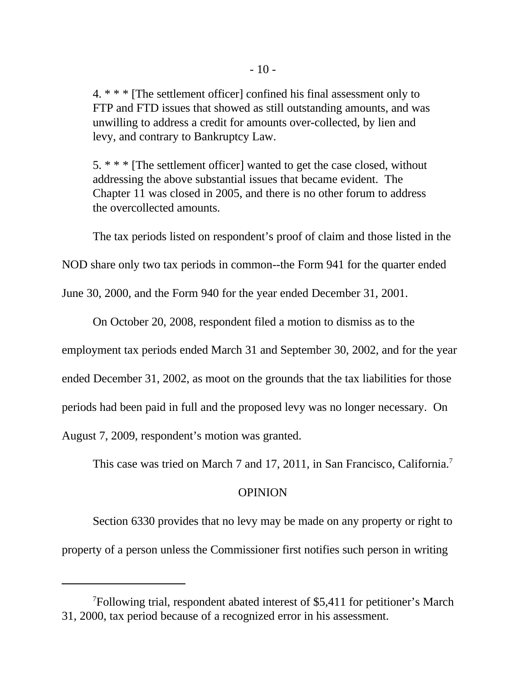4. \* \* \* [The settlement officer] confined his final assessment only to FTP and FTD issues that showed as still outstanding amounts, and was unwilling to address a credit for amounts over-collected, by lien and levy, and contrary to Bankruptcy Law.

5. \* \* \* [The settlement officer] wanted to get the case closed, without addressing the above substantial issues that became evident. The Chapter 11 was closed in 2005, and there is no other forum to address the overcollected amounts.

The tax periods listed on respondent's proof of claim and those listed in the

NOD share only two tax periods in common--the Form 941 for the quarter ended

June 30, 2000, and the Form 940 for the year ended December 31, 2001.

On October 20, 2008, respondent filed a motion to dismiss as to the

employment tax periods ended March 31 and September 30, 2002, and for the year

ended December 31, 2002, as moot on the grounds that the tax liabilities for those

periods had been paid in full and the proposed levy was no longer necessary. On

August 7, 2009, respondent's motion was granted.

This case was tried on March 7 and 17, 2011, in San Francisco, California.<sup>7</sup>

## OPINION

Section 6330 provides that no levy may be made on any property or right to property of a person unless the Commissioner first notifies such person in writing

<sup>7</sup>Following trial, respondent abated interest of \$5,411 for petitioner's March 31, 2000, tax period because of a recognized error in his assessment.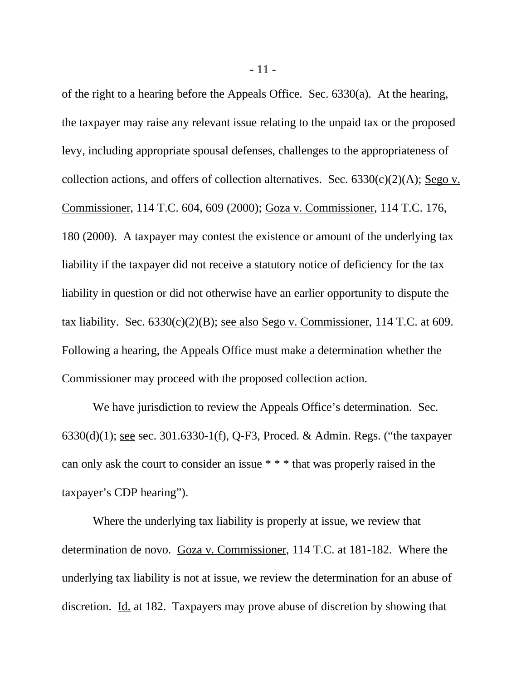of the right to a hearing before the Appeals Office. Sec. 6330(a). At the hearing, the taxpayer may raise any relevant issue relating to the unpaid tax or the proposed levy, including appropriate spousal defenses, challenges to the appropriateness of collection actions, and offers of collection alternatives. Sec.  $6330(c)(2)(A)$ ; Sego v. Commissioner, 114 T.C. 604, 609 (2000); Goza v. Commissioner, 114 T.C. 176, 180 (2000). A taxpayer may contest the existence or amount of the underlying tax liability if the taxpayer did not receive a statutory notice of deficiency for the tax liability in question or did not otherwise have an earlier opportunity to dispute the tax liability. Sec.  $6330(c)(2)(B)$ ; see also Sego v. Commissioner, 114 T.C. at 609. Following a hearing, the Appeals Office must make a determination whether the Commissioner may proceed with the proposed collection action.

We have jurisdiction to review the Appeals Office's determination. Sec. 6330(d)(1); see sec. 301.6330-1(f), Q-F3, Proced. & Admin. Regs. ("the taxpayer can only ask the court to consider an issue \* \* \* that was properly raised in the taxpayer's CDP hearing").

Where the underlying tax liability is properly at issue, we review that determination de novo. Goza v. Commissioner, 114 T.C. at 181-182. Where the underlying tax liability is not at issue, we review the determination for an abuse of discretion. Id. at 182. Taxpayers may prove abuse of discretion by showing that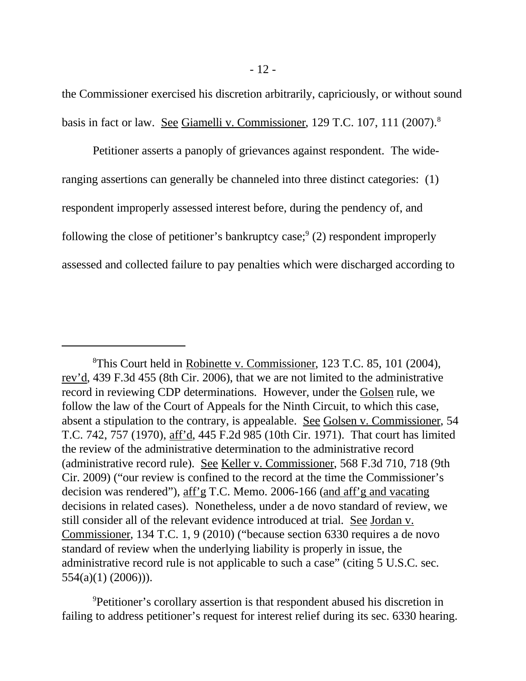the Commissioner exercised his discretion arbitrarily, capriciously, or without sound basis in fact or law. See Giamelli v. Commissioner, 129 T.C. 107, 111 (2007).<sup>8</sup>

Petitioner asserts a panoply of grievances against respondent. The wideranging assertions can generally be channeled into three distinct categories: (1) respondent improperly assessed interest before, during the pendency of, and following the close of petitioner's bankruptcy case;<sup>9</sup> (2) respondent improperly assessed and collected failure to pay penalties which were discharged according to

<sup>8</sup>This Court held in Robinette v. Commissioner, 123 T.C. 85, 101 (2004), rev'd, 439 F.3d 455 (8th Cir. 2006), that we are not limited to the administrative record in reviewing CDP determinations. However, under the Golsen rule, we follow the law of the Court of Appeals for the Ninth Circuit, to which this case, absent a stipulation to the contrary, is appealable. See Golsen v. Commissioner, 54 T.C. 742, 757 (1970), aff'd, 445 F.2d 985 (10th Cir. 1971). That court has limited the review of the administrative determination to the administrative record (administrative record rule). See Keller v. Commissioner, 568 F.3d 710, 718 (9th Cir. 2009) ("our review is confined to the record at the time the Commissioner's decision was rendered"), aff'g T.C. Memo. 2006-166 (and aff'g and vacating decisions in related cases). Nonetheless, under a de novo standard of review, we still consider all of the relevant evidence introduced at trial. See Jordan v. Commissioner, 134 T.C. 1, 9 (2010) ("because section 6330 requires a de novo standard of review when the underlying liability is properly in issue, the administrative record rule is not applicable to such a case" (citing 5 U.S.C. sec. 554(a)(1) (2006))).

<sup>9</sup>Petitioner's corollary assertion is that respondent abused his discretion in failing to address petitioner's request for interest relief during its sec. 6330 hearing.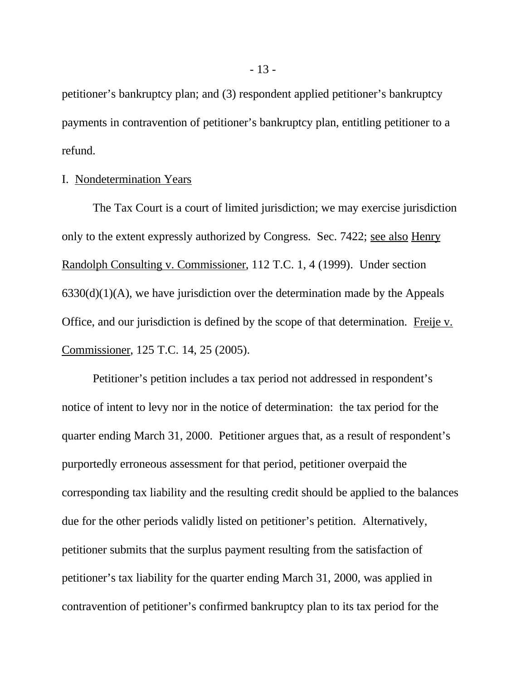petitioner's bankruptcy plan; and (3) respondent applied petitioner's bankruptcy payments in contravention of petitioner's bankruptcy plan, entitling petitioner to a refund.

#### I. Nondetermination Years

The Tax Court is a court of limited jurisdiction; we may exercise jurisdiction only to the extent expressly authorized by Congress. Sec. 7422; see also Henry Randolph Consulting v. Commissioner, 112 T.C. 1, 4 (1999). Under section  $6330(d)(1)(A)$ , we have jurisdiction over the determination made by the Appeals Office, and our jurisdiction is defined by the scope of that determination. Freije v. Commissioner, 125 T.C. 14, 25 (2005).

Petitioner's petition includes a tax period not addressed in respondent's notice of intent to levy nor in the notice of determination: the tax period for the quarter ending March 31, 2000. Petitioner argues that, as a result of respondent's purportedly erroneous assessment for that period, petitioner overpaid the corresponding tax liability and the resulting credit should be applied to the balances due for the other periods validly listed on petitioner's petition. Alternatively, petitioner submits that the surplus payment resulting from the satisfaction of petitioner's tax liability for the quarter ending March 31, 2000, was applied in contravention of petitioner's confirmed bankruptcy plan to its tax period for the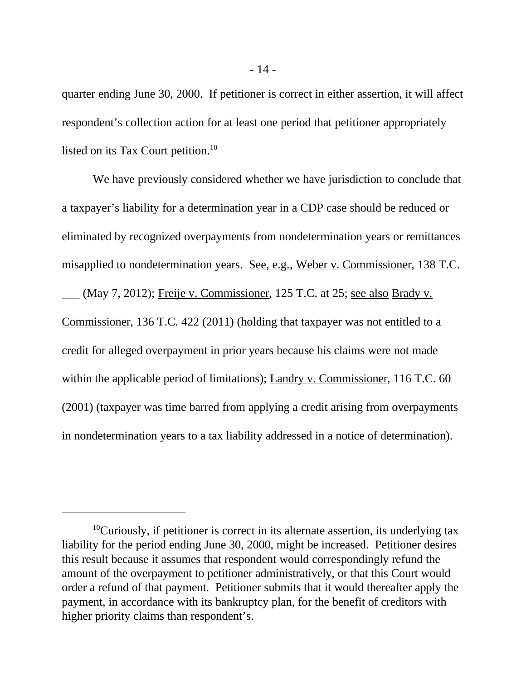quarter ending June 30, 2000. If petitioner is correct in either assertion, it will affect respondent's collection action for at least one period that petitioner appropriately listed on its Tax Court petition.<sup>10</sup>

We have previously considered whether we have jurisdiction to conclude that a taxpayer's liability for a determination year in a CDP case should be reduced or eliminated by recognized overpayments from nondetermination years or remittances misapplied to nondetermination years. See, e.g., Weber v. Commissioner, 138 T.C. \_\_\_ (May 7, 2012); Freije v. Commissioner, 125 T.C. at 25; see also Brady v. Commissioner, 136 T.C. 422 (2011) (holding that taxpayer was not entitled to a credit for alleged overpayment in prior years because his claims were not made within the applicable period of limitations); Landry v. Commissioner, 116 T.C. 60 (2001) (taxpayer was time barred from applying a credit arising from overpayments in nondetermination years to a tax liability addressed in a notice of determination).

 $10$ Curiously, if petitioner is correct in its alternate assertion, its underlying tax liability for the period ending June 30, 2000, might be increased. Petitioner desires this result because it assumes that respondent would correspondingly refund the amount of the overpayment to petitioner administratively, or that this Court would order a refund of that payment. Petitioner submits that it would thereafter apply the payment, in accordance with its bankruptcy plan, for the benefit of creditors with higher priority claims than respondent's.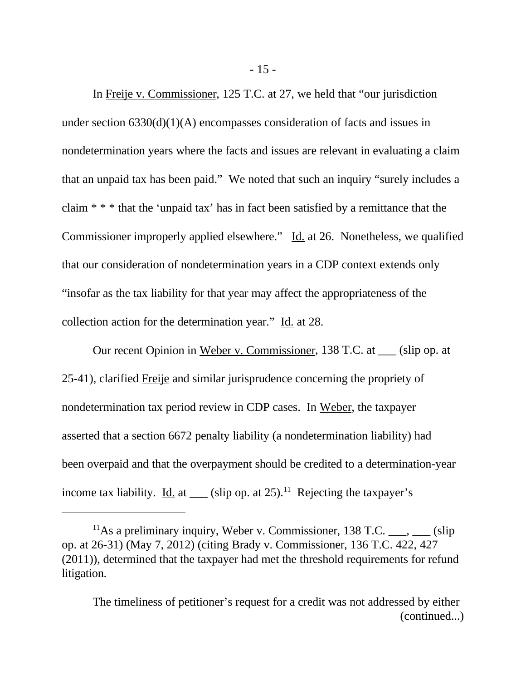In Freije v. Commissioner, 125 T.C. at 27, we held that "our jurisdiction under section  $6330(d)(1)(A)$  encompasses consideration of facts and issues in nondetermination years where the facts and issues are relevant in evaluating a claim that an unpaid tax has been paid." We noted that such an inquiry "surely includes a claim \* \* \* that the 'unpaid tax' has in fact been satisfied by a remittance that the Commissioner improperly applied elsewhere." Id. at 26. Nonetheless, we qualified that our consideration of nondetermination years in a CDP context extends only "insofar as the tax liability for that year may affect the appropriateness of the collection action for the determination year." Id. at 28.

Our recent Opinion in Weber v. Commissioner, 138 T.C. at \_\_\_ (slip op. at 25-41), clarified Freije and similar jurisprudence concerning the propriety of nondetermination tax period review in CDP cases. In Weber, the taxpayer asserted that a section 6672 penalty liability (a nondetermination liability) had been overpaid and that the overpayment should be credited to a determination-year income tax liability. <u>Id.</u> at  $\qquad$  (slip op. at 25).<sup>11</sup> Rejecting the taxpayer's

The timeliness of petitioner's request for a credit was not addressed by either (continued...)

<sup>&</sup>lt;sup>11</sup>As a preliminary inquiry, Weber v. Commissioner, 138 T.C.  $\_\_\_\_$ . (slip) op. at 26-31) (May 7, 2012) (citing Brady v. Commissioner, 136 T.C. 422, 427 (2011)), determined that the taxpayer had met the threshold requirements for refund litigation.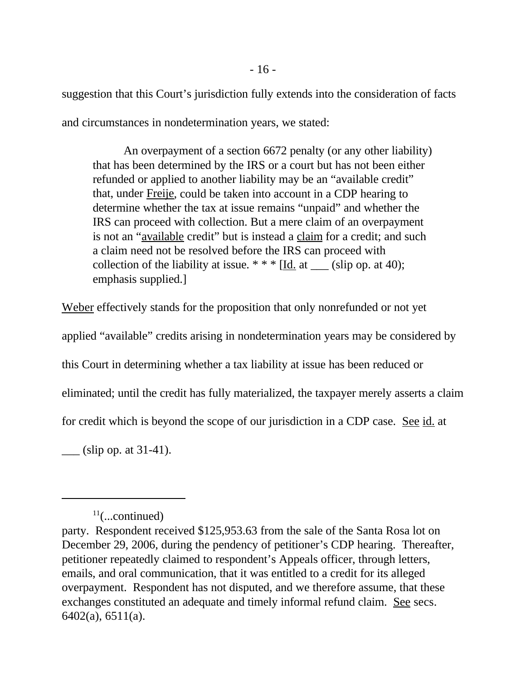suggestion that this Court's jurisdiction fully extends into the consideration of facts

and circumstances in nondetermination years, we stated:

An overpayment of a section 6672 penalty (or any other liability) that has been determined by the IRS or a court but has not been either refunded or applied to another liability may be an "available credit" that, under Freije, could be taken into account in a CDP hearing to determine whether the tax at issue remains "unpaid" and whether the IRS can proceed with collection. But a mere claim of an overpayment is not an "available credit" but is instead a claim for a credit; and such a claim need not be resolved before the IRS can proceed with collection of the liability at issue.  $**$   $[Id.$  at  $]$  (slip op. at 40); emphasis supplied.]

Weber effectively stands for the proposition that only nonrefunded or not yet

applied "available" credits arising in nondetermination years may be considered by

this Court in determining whether a tax liability at issue has been reduced or

eliminated; until the credit has fully materialized, the taxpayer merely asserts a claim

for credit which is beyond the scope of our jurisdiction in a CDP case. See id. at

 $\Box$  (slip op. at 31-41).

 $11$ (...continued)

party. Respondent received \$125,953.63 from the sale of the Santa Rosa lot on December 29, 2006, during the pendency of petitioner's CDP hearing. Thereafter, petitioner repeatedly claimed to respondent's Appeals officer, through letters, emails, and oral communication, that it was entitled to a credit for its alleged overpayment. Respondent has not disputed, and we therefore assume, that these exchanges constituted an adequate and timely informal refund claim. See secs. 6402(a), 6511(a).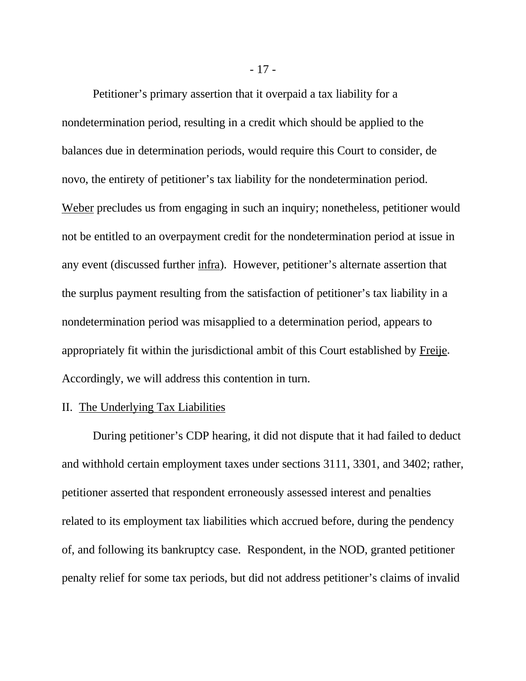Petitioner's primary assertion that it overpaid a tax liability for a nondetermination period, resulting in a credit which should be applied to the balances due in determination periods, would require this Court to consider, de novo, the entirety of petitioner's tax liability for the nondetermination period. Weber precludes us from engaging in such an inquiry; nonetheless, petitioner would not be entitled to an overpayment credit for the nondetermination period at issue in any event (discussed further infra). However, petitioner's alternate assertion that the surplus payment resulting from the satisfaction of petitioner's tax liability in a nondetermination period was misapplied to a determination period, appears to appropriately fit within the jurisdictional ambit of this Court established by Freije. Accordingly, we will address this contention in turn.

#### II. The Underlying Tax Liabilities

During petitioner's CDP hearing, it did not dispute that it had failed to deduct and withhold certain employment taxes under sections 3111, 3301, and 3402; rather, petitioner asserted that respondent erroneously assessed interest and penalties related to its employment tax liabilities which accrued before, during the pendency of, and following its bankruptcy case. Respondent, in the NOD, granted petitioner penalty relief for some tax periods, but did not address petitioner's claims of invalid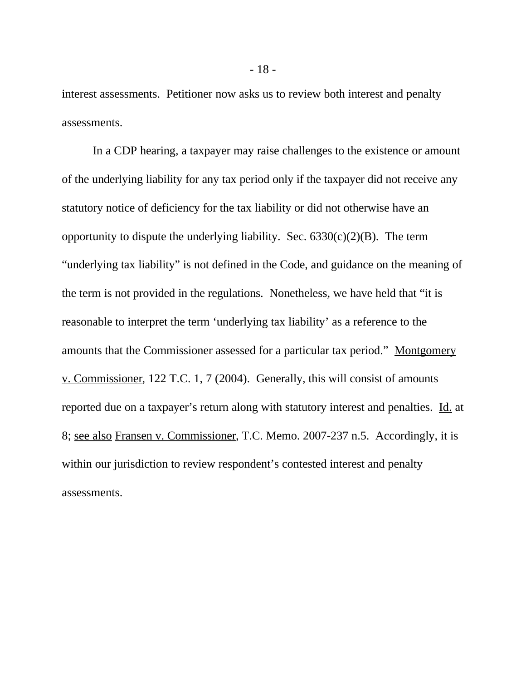interest assessments. Petitioner now asks us to review both interest and penalty assessments.

In a CDP hearing, a taxpayer may raise challenges to the existence or amount of the underlying liability for any tax period only if the taxpayer did not receive any statutory notice of deficiency for the tax liability or did not otherwise have an opportunity to dispute the underlying liability. Sec.  $6330(c)(2)(B)$ . The term "underlying tax liability" is not defined in the Code, and guidance on the meaning of the term is not provided in the regulations. Nonetheless, we have held that "it is reasonable to interpret the term 'underlying tax liability' as a reference to the amounts that the Commissioner assessed for a particular tax period." Montgomery v. Commissioner, 122 T.C. 1, 7 (2004). Generally, this will consist of amounts reported due on a taxpayer's return along with statutory interest and penalties. Id. at 8; see also Fransen v. Commissioner, T.C. Memo. 2007-237 n.5. Accordingly, it is within our jurisdiction to review respondent's contested interest and penalty assessments.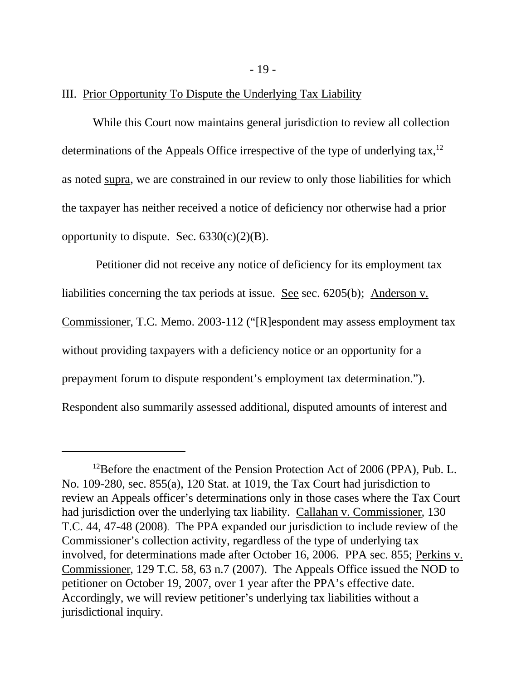III. Prior Opportunity To Dispute the Underlying Tax Liability

While this Court now maintains general jurisdiction to review all collection determinations of the Appeals Office irrespective of the type of underlying tax,<sup>12</sup> as noted supra, we are constrained in our review to only those liabilities for which the taxpayer has neither received a notice of deficiency nor otherwise had a prior opportunity to dispute. Sec.  $6330(c)(2)(B)$ .

 Petitioner did not receive any notice of deficiency for its employment tax liabilities concerning the tax periods at issue. See sec. 6205(b); Anderson v. Commissioner, T.C. Memo. 2003-112 ("[R]espondent may assess employment tax without providing taxpayers with a deficiency notice or an opportunity for a prepayment forum to dispute respondent's employment tax determination."). Respondent also summarily assessed additional, disputed amounts of interest and

<sup>&</sup>lt;sup>12</sup>Before the enactment of the Pension Protection Act of 2006 (PPA), Pub. L. No. 109-280, sec. 855(a), 120 Stat. at 1019, the Tax Court had jurisdiction to review an Appeals officer's determinations only in those cases where the Tax Court had jurisdiction over the underlying tax liability. Callahan v. Commissioner*,* 130 T.C. 44, 47-48 (2008). The PPA expanded our jurisdiction to include review of the Commissioner's collection activity, regardless of the type of underlying tax involved, for determinations made after October 16, 2006. PPA sec. 855; Perkins v. Commissioner, 129 T.C. 58, 63 n.7 (2007). The Appeals Office issued the NOD to petitioner on October 19, 2007, over 1 year after the PPA's effective date. Accordingly, we will review petitioner's underlying tax liabilities without a jurisdictional inquiry.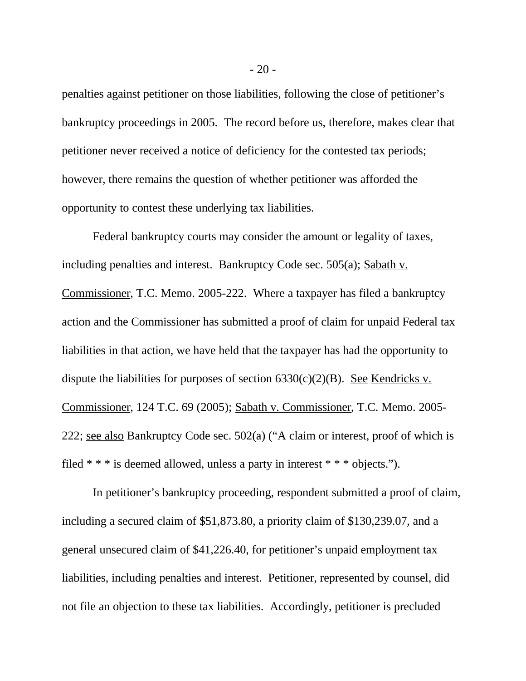penalties against petitioner on those liabilities, following the close of petitioner's bankruptcy proceedings in 2005. The record before us, therefore, makes clear that petitioner never received a notice of deficiency for the contested tax periods; however, there remains the question of whether petitioner was afforded the opportunity to contest these underlying tax liabilities.

Federal bankruptcy courts may consider the amount or legality of taxes, including penalties and interest. Bankruptcy Code sec. 505(a); Sabath v. Commissioner, T.C. Memo. 2005-222. Where a taxpayer has filed a bankruptcy action and the Commissioner has submitted a proof of claim for unpaid Federal tax liabilities in that action, we have held that the taxpayer has had the opportunity to dispute the liabilities for purposes of section  $6330(c)(2)(B)$ . See Kendricks v. Commissioner, 124 T.C. 69 (2005); Sabath v. Commissioner, T.C. Memo. 2005- 222; see also Bankruptcy Code sec. 502(a) ("A claim or interest, proof of which is filed  $* * *$  is deemed allowed, unless a party in interest  $* * *$  objects.").

In petitioner's bankruptcy proceeding, respondent submitted a proof of claim, including a secured claim of \$51,873.80, a priority claim of \$130,239.07, and a general unsecured claim of \$41,226.40, for petitioner's unpaid employment tax liabilities, including penalties and interest. Petitioner, represented by counsel, did not file an objection to these tax liabilities. Accordingly, petitioner is precluded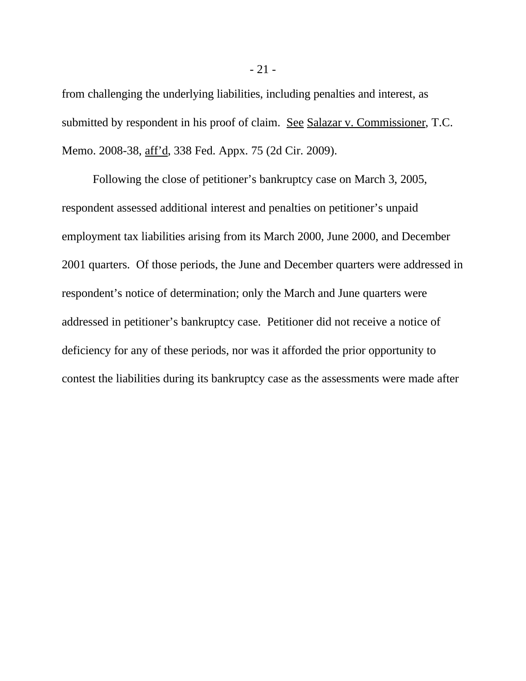from challenging the underlying liabilities, including penalties and interest, as submitted by respondent in his proof of claim. See Salazar v. Commissioner, T.C. Memo. 2008-38, aff'd, 338 Fed. Appx. 75 (2d Cir. 2009).

Following the close of petitioner's bankruptcy case on March 3, 2005, respondent assessed additional interest and penalties on petitioner's unpaid employment tax liabilities arising from its March 2000, June 2000, and December 2001 quarters. Of those periods, the June and December quarters were addressed in respondent's notice of determination; only the March and June quarters were addressed in petitioner's bankruptcy case. Petitioner did not receive a notice of deficiency for any of these periods, nor was it afforded the prior opportunity to contest the liabilities during its bankruptcy case as the assessments were made after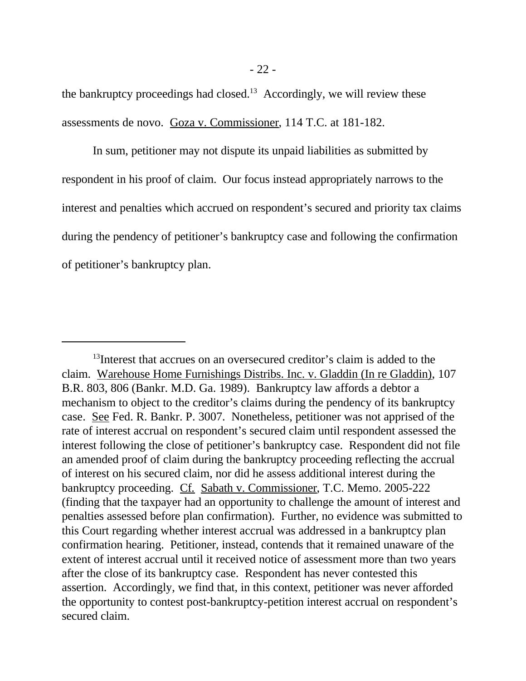the bankruptcy proceedings had closed.<sup>13</sup> Accordingly, we will review these assessments de novo. Goza v. Commissioner, 114 T.C. at 181-182.

In sum, petitioner may not dispute its unpaid liabilities as submitted by respondent in his proof of claim. Our focus instead appropriately narrows to the interest and penalties which accrued on respondent's secured and priority tax claims during the pendency of petitioner's bankruptcy case and following the confirmation of petitioner's bankruptcy plan.

 $13$ Interest that accrues on an oversecured creditor's claim is added to the claim. Warehouse Home Furnishings Distribs. Inc. v. Gladdin (In re Gladdin), 107 B.R. 803, 806 (Bankr. M.D. Ga. 1989). Bankruptcy law affords a debtor a mechanism to object to the creditor's claims during the pendency of its bankruptcy case. See Fed. R. Bankr. P. 3007. Nonetheless, petitioner was not apprised of the rate of interest accrual on respondent's secured claim until respondent assessed the interest following the close of petitioner's bankruptcy case. Respondent did not file an amended proof of claim during the bankruptcy proceeding reflecting the accrual of interest on his secured claim, nor did he assess additional interest during the bankruptcy proceeding. Cf. Sabath v. Commissioner, T.C. Memo. 2005-222 (finding that the taxpayer had an opportunity to challenge the amount of interest and penalties assessed before plan confirmation). Further, no evidence was submitted to this Court regarding whether interest accrual was addressed in a bankruptcy plan confirmation hearing. Petitioner, instead, contends that it remained unaware of the extent of interest accrual until it received notice of assessment more than two years after the close of its bankruptcy case. Respondent has never contested this assertion. Accordingly, we find that, in this context, petitioner was never afforded the opportunity to contest post-bankruptcy-petition interest accrual on respondent's secured claim.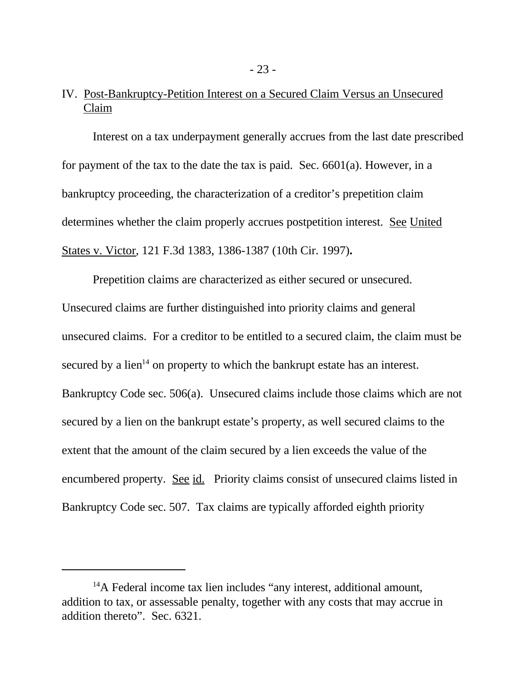# IV. Post-Bankruptcy-Petition Interest on a Secured Claim Versus an Unsecured Claim

Interest on a tax underpayment generally accrues from the last date prescribed for payment of the tax to the date the tax is paid. Sec. 6601(a). However, in a bankruptcy proceeding, the characterization of a creditor's prepetition claim determines whether the claim properly accrues postpetition interest. See United States v. Victor, 121 F.3d 1383, 1386-1387 (10th Cir. 1997)**.**

Prepetition claims are characterized as either secured or unsecured. Unsecured claims are further distinguished into priority claims and general unsecured claims. For a creditor to be entitled to a secured claim, the claim must be secured by a lien<sup>14</sup> on property to which the bankrupt estate has an interest. Bankruptcy Code sec. 506(a). Unsecured claims include those claims which are not secured by a lien on the bankrupt estate's property, as well secured claims to the extent that the amount of the claim secured by a lien exceeds the value of the encumbered property. See id. Priority claims consist of unsecured claims listed in Bankruptcy Code sec. 507. Tax claims are typically afforded eighth priority

<sup>&</sup>lt;sup>14</sup>A Federal income tax lien includes "any interest, additional amount, addition to tax, or assessable penalty, together with any costs that may accrue in addition thereto". Sec. 6321.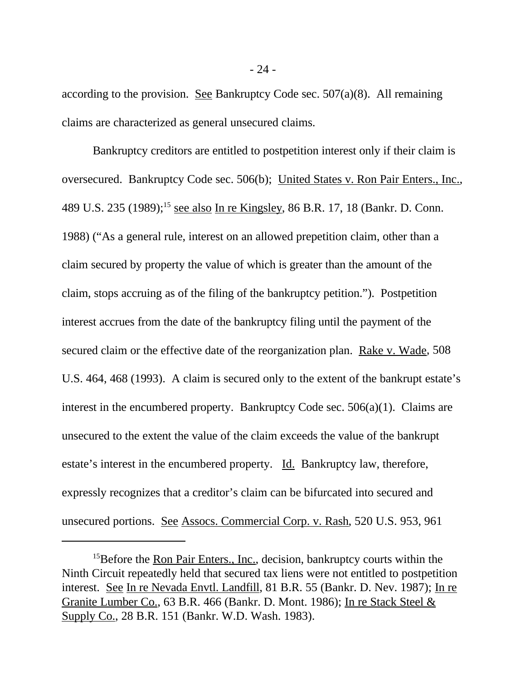according to the provision. See Bankruptcy Code sec.  $507(a)(8)$ . All remaining claims are characterized as general unsecured claims.

Bankruptcy creditors are entitled to postpetition interest only if their claim is oversecured. Bankruptcy Code sec. 506(b); United States v. Ron Pair Enters., Inc., 489 U.S. 235 (1989);<sup>15</sup> see also In re Kingsley, 86 B.R. 17, 18 (Bankr. D. Conn. 1988) ("As a general rule, interest on an allowed prepetition claim, other than a claim secured by property the value of which is greater than the amount of the claim, stops accruing as of the filing of the bankruptcy petition."). Postpetition interest accrues from the date of the bankruptcy filing until the payment of the secured claim or the effective date of the reorganization plan. Rake v. Wade, 508 U.S. 464, 468 (1993). A claim is secured only to the extent of the bankrupt estate's interest in the encumbered property. Bankruptcy Code sec. 506(a)(1). Claims are unsecured to the extent the value of the claim exceeds the value of the bankrupt estate's interest in the encumbered property. Id. Bankruptcy law, therefore, expressly recognizes that a creditor's claim can be bifurcated into secured and unsecured portions. See Assocs. Commercial Corp. v. Rash, 520 U.S. 953, 961

<sup>&</sup>lt;sup>15</sup>Before the Ron Pair Enters., Inc., decision, bankruptcy courts within the Ninth Circuit repeatedly held that secured tax liens were not entitled to postpetition interest. See In re Nevada Envtl. Landfill, 81 B.R. 55 (Bankr. D. Nev. 1987); In re Granite Lumber Co., 63 B.R. 466 (Bankr. D. Mont. 1986); In re Stack Steel & Supply Co., 28 B.R. 151 (Bankr. W.D. Wash. 1983).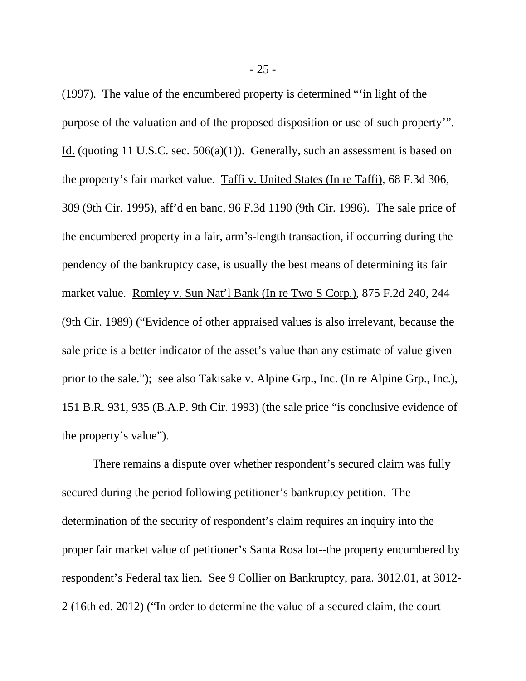(1997). The value of the encumbered property is determined "'in light of the purpose of the valuation and of the proposed disposition or use of such property'". Id. (quoting 11 U.S.C. sec.  $506(a)(1)$ ). Generally, such an assessment is based on the property's fair market value. Taffi v. United States (In re Taffi), 68 F.3d 306, 309 (9th Cir. 1995), aff'd en banc, 96 F.3d 1190 (9th Cir. 1996). The sale price of the encumbered property in a fair, arm's-length transaction, if occurring during the pendency of the bankruptcy case, is usually the best means of determining its fair market value. Romley v. Sun Nat'l Bank (In re Two S Corp.), 875 F.2d 240, 244 (9th Cir. 1989) ("Evidence of other appraised values is also irrelevant, because the sale price is a better indicator of the asset's value than any estimate of value given prior to the sale."); see also Takisake v. Alpine Grp., Inc. (In re Alpine Grp., Inc.), 151 B.R. 931, 935 (B.A.P. 9th Cir. 1993) (the sale price "is conclusive evidence of the property's value").

There remains a dispute over whether respondent's secured claim was fully secured during the period following petitioner's bankruptcy petition. The determination of the security of respondent's claim requires an inquiry into the proper fair market value of petitioner's Santa Rosa lot--the property encumbered by respondent's Federal tax lien. See 9 Collier on Bankruptcy, para. 3012.01, at 3012- 2 (16th ed. 2012) ("In order to determine the value of a secured claim, the court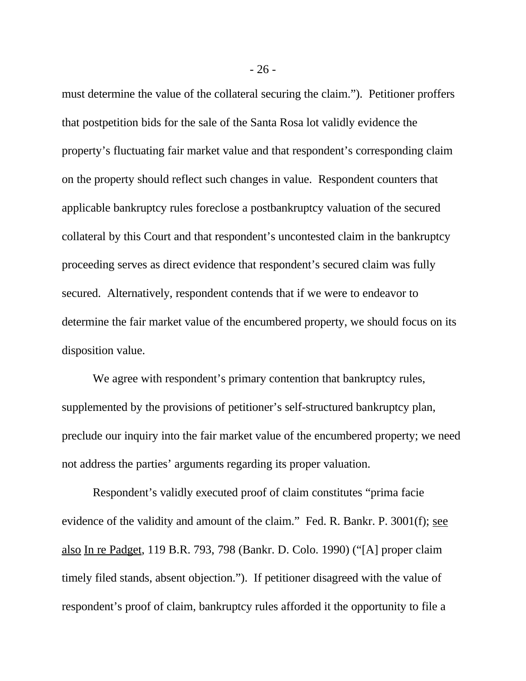must determine the value of the collateral securing the claim."). Petitioner proffers that postpetition bids for the sale of the Santa Rosa lot validly evidence the property's fluctuating fair market value and that respondent's corresponding claim on the property should reflect such changes in value. Respondent counters that applicable bankruptcy rules foreclose a postbankruptcy valuation of the secured collateral by this Court and that respondent's uncontested claim in the bankruptcy proceeding serves as direct evidence that respondent's secured claim was fully secured. Alternatively, respondent contends that if we were to endeavor to determine the fair market value of the encumbered property, we should focus on its disposition value.

We agree with respondent's primary contention that bankruptcy rules, supplemented by the provisions of petitioner's self-structured bankruptcy plan, preclude our inquiry into the fair market value of the encumbered property; we need not address the parties' arguments regarding its proper valuation.

Respondent's validly executed proof of claim constitutes "prima facie evidence of the validity and amount of the claim." Fed. R. Bankr. P. 3001(f); see also In re Padget, 119 B.R. 793, 798 (Bankr. D. Colo. 1990) ("[A] proper claim timely filed stands, absent objection."). If petitioner disagreed with the value of respondent's proof of claim, bankruptcy rules afforded it the opportunity to file a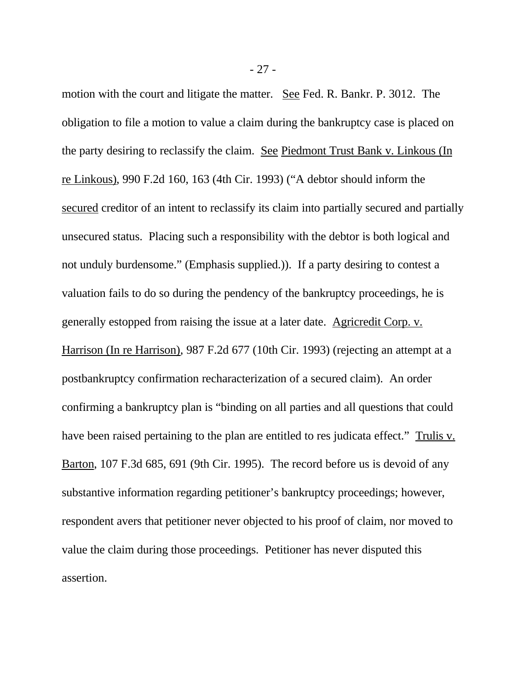motion with the court and litigate the matter. See Fed. R. Bankr. P. 3012. The obligation to file a motion to value a claim during the bankruptcy case is placed on the party desiring to reclassify the claim. See Piedmont Trust Bank v. Linkous (In re Linkous), 990 F.2d 160, 163 (4th Cir. 1993) ("A debtor should inform the secured creditor of an intent to reclassify its claim into partially secured and partially unsecured status. Placing such a responsibility with the debtor is both logical and not unduly burdensome." (Emphasis supplied.)). If a party desiring to contest a valuation fails to do so during the pendency of the bankruptcy proceedings, he is generally estopped from raising the issue at a later date. Agricredit Corp. v. Harrison (In re Harrison), 987 F.2d 677 (10th Cir. 1993) (rejecting an attempt at a postbankruptcy confirmation recharacterization of a secured claim). An order confirming a bankruptcy plan is "binding on all parties and all questions that could have been raised pertaining to the plan are entitled to res judicata effect." Trulis v. Barton, 107 F.3d 685, 691 (9th Cir. 1995). The record before us is devoid of any substantive information regarding petitioner's bankruptcy proceedings; however, respondent avers that petitioner never objected to his proof of claim, nor moved to value the claim during those proceedings. Petitioner has never disputed this assertion.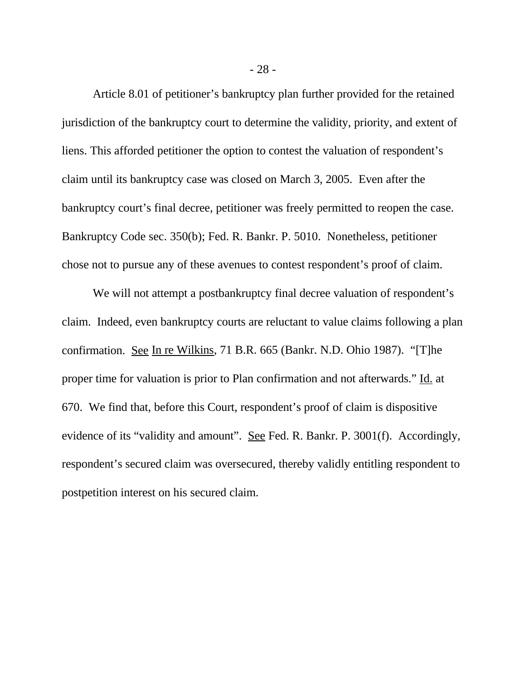Article 8.01 of petitioner's bankruptcy plan further provided for the retained jurisdiction of the bankruptcy court to determine the validity, priority, and extent of liens. This afforded petitioner the option to contest the valuation of respondent's claim until its bankruptcy case was closed on March 3, 2005. Even after the bankruptcy court's final decree, petitioner was freely permitted to reopen the case. Bankruptcy Code sec. 350(b); Fed. R. Bankr. P. 5010. Nonetheless, petitioner chose not to pursue any of these avenues to contest respondent's proof of claim.

We will not attempt a postbankruptcy final decree valuation of respondent's claim. Indeed, even bankruptcy courts are reluctant to value claims following a plan confirmation. See In re Wilkins, 71 B.R. 665 (Bankr. N.D. Ohio 1987). "[T]he proper time for valuation is prior to Plan confirmation and not afterwards." Id. at 670. We find that, before this Court, respondent's proof of claim is dispositive evidence of its "validity and amount". See Fed. R. Bankr. P. 3001(f). Accordingly, respondent's secured claim was oversecured, thereby validly entitling respondent to postpetition interest on his secured claim.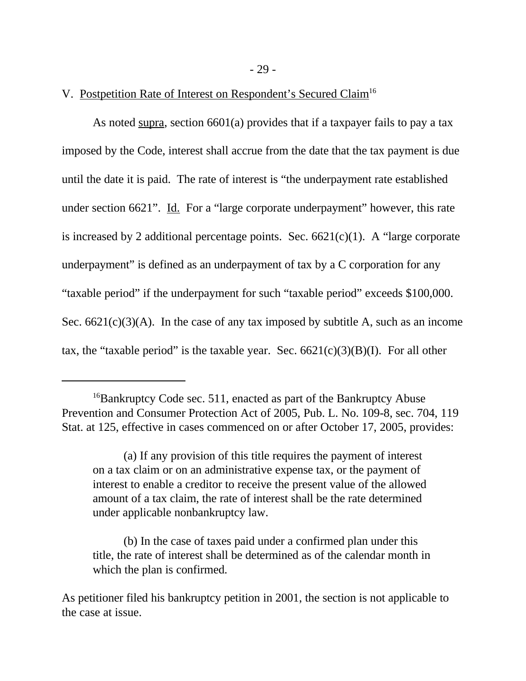- 29 -

## V. Postpetition Rate of Interest on Respondent's Secured Claim<sup>16</sup>

As noted supra, section 6601(a) provides that if a taxpayer fails to pay a tax imposed by the Code, interest shall accrue from the date that the tax payment is due until the date it is paid. The rate of interest is "the underpayment rate established under section 6621". Id. For a "large corporate underpayment" however, this rate is increased by 2 additional percentage points. Sec.  $6621(c)(1)$ . A "large corporate" underpayment" is defined as an underpayment of tax by a C corporation for any "taxable period" if the underpayment for such "taxable period" exceeds \$100,000. Sec.  $6621(c)(3)(A)$ . In the case of any tax imposed by subtitle A, such as an income tax, the "taxable period" is the taxable year. Sec.  $6621(c)(3)(B)(I)$ . For all other

<sup>&</sup>lt;sup>16</sup>Bankruptcy Code sec. 511, enacted as part of the Bankruptcy Abuse Prevention and Consumer Protection Act of 2005, Pub. L. No. 109-8, sec. 704, 119 Stat. at 125, effective in cases commenced on or after October 17, 2005, provides:

<sup>(</sup>a) If any provision of this title requires the payment of interest on a tax claim or on an administrative expense tax, or the payment of interest to enable a creditor to receive the present value of the allowed amount of a tax claim, the rate of interest shall be the rate determined under applicable nonbankruptcy law.

<sup>(</sup>b) In the case of taxes paid under a confirmed plan under this title, the rate of interest shall be determined as of the calendar month in which the plan is confirmed.

As petitioner filed his bankruptcy petition in 2001, the section is not applicable to the case at issue.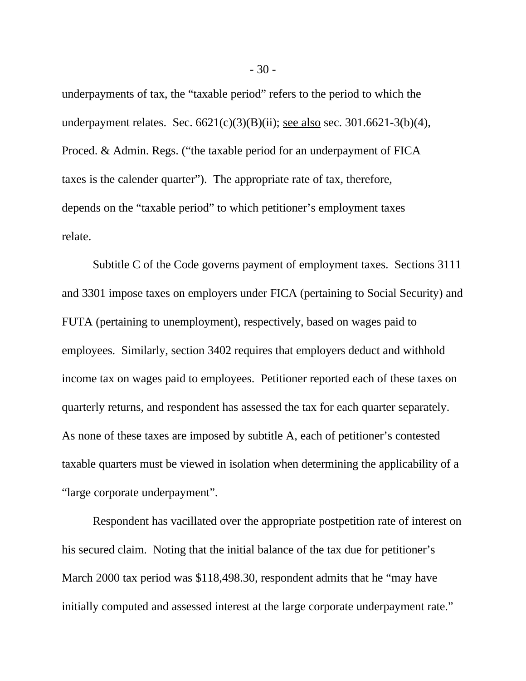underpayments of tax, the "taxable period" refers to the period to which the underpayment relates. Sec.  $6621(c)(3)(B)(ii)$ ; <u>see also</u> sec.  $301.6621-3(b)(4)$ , Proced. & Admin. Regs. ("the taxable period for an underpayment of FICA taxes is the calender quarter"). The appropriate rate of tax, therefore, depends on the "taxable period" to which petitioner's employment taxes relate.

Subtitle C of the Code governs payment of employment taxes. Sections 3111 and 3301 impose taxes on employers under FICA (pertaining to Social Security) and FUTA (pertaining to unemployment), respectively, based on wages paid to employees. Similarly, section 3402 requires that employers deduct and withhold income tax on wages paid to employees. Petitioner reported each of these taxes on quarterly returns, and respondent has assessed the tax for each quarter separately. As none of these taxes are imposed by subtitle A, each of petitioner's contested taxable quarters must be viewed in isolation when determining the applicability of a "large corporate underpayment".

Respondent has vacillated over the appropriate postpetition rate of interest on his secured claim. Noting that the initial balance of the tax due for petitioner's March 2000 tax period was \$118,498.30, respondent admits that he "may have initially computed and assessed interest at the large corporate underpayment rate."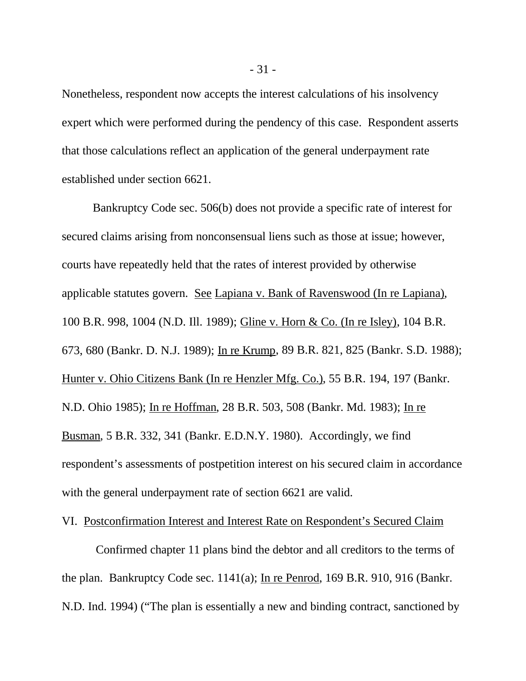Nonetheless, respondent now accepts the interest calculations of his insolvency expert which were performed during the pendency of this case. Respondent asserts that those calculations reflect an application of the general underpayment rate established under section 6621.

Bankruptcy Code sec. 506(b) does not provide a specific rate of interest for secured claims arising from nonconsensual liens such as those at issue; however, courts have repeatedly held that the rates of interest provided by otherwise applicable statutes govern. See Lapiana v. Bank of Ravenswood (In re Lapiana), 100 B.R. 998, 1004 (N.D. Ill. 1989); Gline v. Horn & Co. (In re Isley), 104 B.R. 673, 680 (Bankr. D. N.J. 1989); In re Krump, 89 B.R. 821, 825 (Bankr. S.D. 1988); Hunter v. Ohio Citizens Bank (In re Henzler Mfg. Co.), 55 B.R. 194, 197 (Bankr. N.D. Ohio 1985); In re Hoffman, 28 B.R. 503, 508 (Bankr. Md. 1983); In re Busman, 5 B.R. 332, 341 (Bankr. E.D.N.Y. 1980). Accordingly, we find respondent's assessments of postpetition interest on his secured claim in accordance with the general underpayment rate of section 6621 are valid.

VI. Postconfirmation Interest and Interest Rate on Respondent's Secured Claim

 Confirmed chapter 11 plans bind the debtor and all creditors to the terms of the plan. Bankruptcy Code sec. 1141(a); In re Penrod, 169 B.R. 910, 916 (Bankr. N.D. Ind. 1994) ("The plan is essentially a new and binding contract, sanctioned by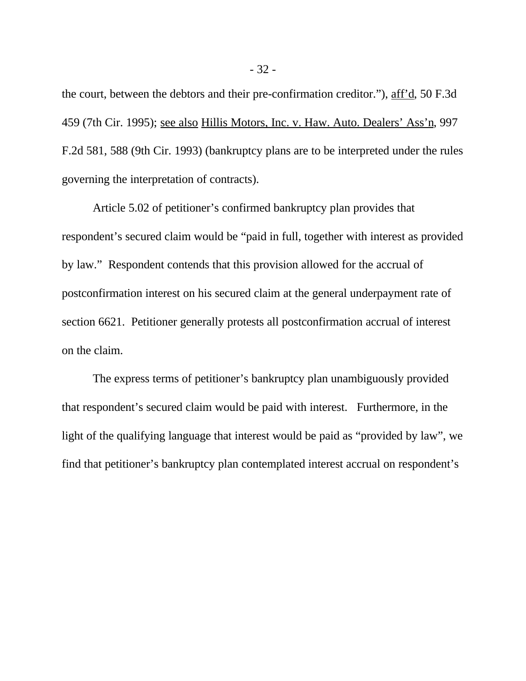the court, between the debtors and their pre-confirmation creditor."), aff'd, 50 F.3d 459 (7th Cir. 1995); see also Hillis Motors, Inc. v. Haw. Auto. Dealers' Ass'n, 997 F.2d 581, 588 (9th Cir. 1993) (bankruptcy plans are to be interpreted under the rules governing the interpretation of contracts).

Article 5.02 of petitioner's confirmed bankruptcy plan provides that respondent's secured claim would be "paid in full, together with interest as provided by law." Respondent contends that this provision allowed for the accrual of postconfirmation interest on his secured claim at the general underpayment rate of section 6621. Petitioner generally protests all postconfirmation accrual of interest on the claim.

The express terms of petitioner's bankruptcy plan unambiguously provided that respondent's secured claim would be paid with interest. Furthermore, in the light of the qualifying language that interest would be paid as "provided by law", we find that petitioner's bankruptcy plan contemplated interest accrual on respondent's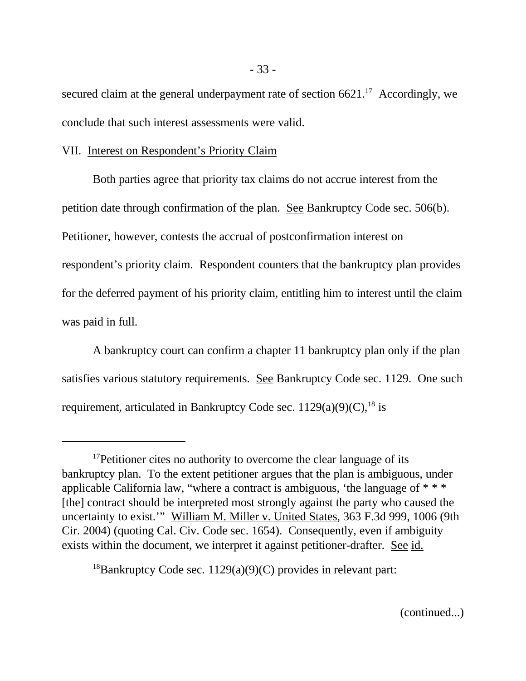secured claim at the general underpayment rate of section  $6621$ .<sup>17</sup> Accordingly, we conclude that such interest assessments were valid.

## VII. Interest on Respondent's Priority Claim

Both parties agree that priority tax claims do not accrue interest from the petition date through confirmation of the plan. See Bankruptcy Code sec. 506(b). Petitioner, however, contests the accrual of postconfirmation interest on respondent's priority claim. Respondent counters that the bankruptcy plan provides for the deferred payment of his priority claim, entitling him to interest until the claim was paid in full.

A bankruptcy court can confirm a chapter 11 bankruptcy plan only if the plan satisfies various statutory requirements. See Bankruptcy Code sec. 1129. One such requirement, articulated in Bankruptcy Code sec.  $1129(a)(9)(C)$ , <sup>18</sup> is

<sup>18</sup>Bankruptcy Code sec.  $1129(a)(9)(C)$  provides in relevant part:

(continued...)

<sup>&</sup>lt;sup>17</sup>Petitioner cites no authority to overcome the clear language of its bankruptcy plan. To the extent petitioner argues that the plan is ambiguous, under applicable California law, "where a contract is ambiguous, 'the language of  $***$ [the] contract should be interpreted most strongly against the party who caused the uncertainty to exist.'" William M. Miller v. United States, 363 F.3d 999, 1006 (9th Cir. 2004) (quoting Cal. Civ. Code sec. 1654). Consequently, even if ambiguity exists within the document, we interpret it against petitioner-drafter. See id.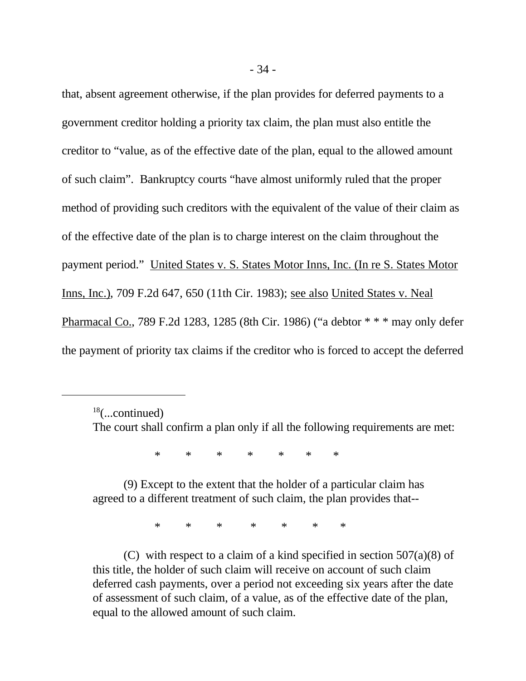that, absent agreement otherwise, if the plan provides for deferred payments to a government creditor holding a priority tax claim, the plan must also entitle the creditor to "value, as of the effective date of the plan, equal to the allowed amount of such claim". Bankruptcy courts "have almost uniformly ruled that the proper method of providing such creditors with the equivalent of the value of their claim as of the effective date of the plan is to charge interest on the claim throughout the payment period." United States v. S. States Motor Inns, Inc. (In re S. States Motor Inns, Inc.), 709 F.2d 647, 650 (11th Cir. 1983); see also United States v. Neal Pharmacal Co., 789 F.2d 1283, 1285 (8th Cir. 1986) ("a debtor \* \* \* may only defer the payment of priority tax claims if the creditor who is forced to accept the deferred

 $18$ (...continued)

The court shall confirm a plan only if all the following requirements are met:

\* \* \* \* \* \* \*

(9) Except to the extent that the holder of a particular claim has agreed to a different treatment of such claim, the plan provides that--

\* \* \* \* \* \* \*

(C) with respect to a claim of a kind specified in section  $507(a)(8)$  of this title, the holder of such claim will receive on account of such claim deferred cash payments, over a period not exceeding six years after the date of assessment of such claim, of a value, as of the effective date of the plan, equal to the allowed amount of such claim.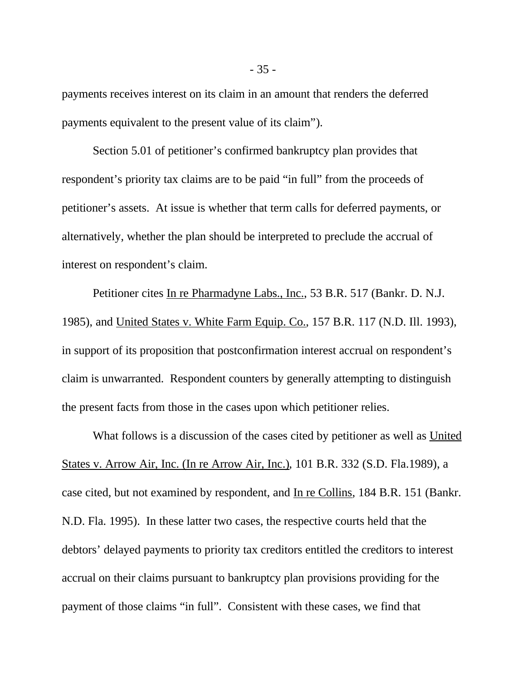payments receives interest on its claim in an amount that renders the deferred payments equivalent to the present value of its claim").

Section 5.01 of petitioner's confirmed bankruptcy plan provides that respondent's priority tax claims are to be paid "in full" from the proceeds of petitioner's assets. At issue is whether that term calls for deferred payments, or alternatively, whether the plan should be interpreted to preclude the accrual of interest on respondent's claim.

Petitioner cites In re Pharmadyne Labs., Inc., 53 B.R. 517 (Bankr. D. N.J. 1985), and United States v. White Farm Equip. Co., 157 B.R. 117 (N.D. Ill. 1993), in support of its proposition that postconfirmation interest accrual on respondent's claim is unwarranted. Respondent counters by generally attempting to distinguish the present facts from those in the cases upon which petitioner relies.

What follows is a discussion of the cases cited by petitioner as well as United States v. Arrow Air, Inc. (In re Arrow Air, Inc.), 101 B.R. 332 (S.D. Fla.1989), a case cited, but not examined by respondent, and In re Collins, 184 B.R. 151 (Bankr. N.D. Fla. 1995). In these latter two cases, the respective courts held that the debtors' delayed payments to priority tax creditors entitled the creditors to interest accrual on their claims pursuant to bankruptcy plan provisions providing for the payment of those claims "in full". Consistent with these cases, we find that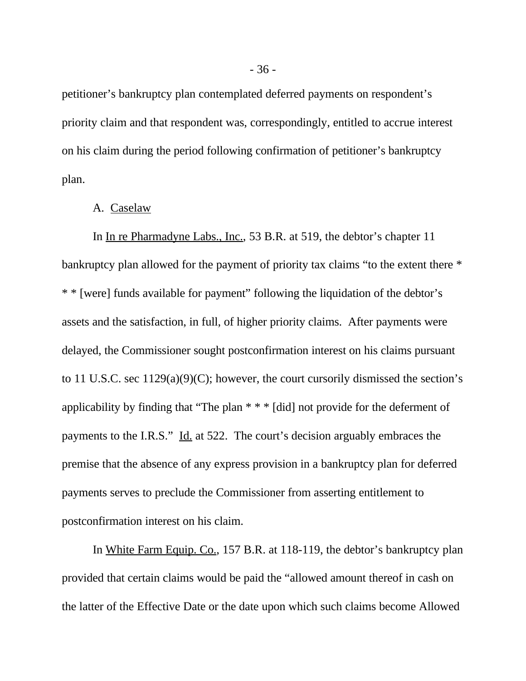petitioner's bankruptcy plan contemplated deferred payments on respondent's priority claim and that respondent was, correspondingly, entitled to accrue interest on his claim during the period following confirmation of petitioner's bankruptcy plan.

#### A. Caselaw

In In re Pharmadyne Labs., Inc., 53 B.R. at 519, the debtor's chapter 11 bankruptcy plan allowed for the payment of priority tax claims "to the extent there \* \* \* [were] funds available for payment" following the liquidation of the debtor's assets and the satisfaction, in full, of higher priority claims. After payments were delayed, the Commissioner sought postconfirmation interest on his claims pursuant to 11 U.S.C. sec 1129(a)(9)(C); however, the court cursorily dismissed the section's applicability by finding that "The plan \* \* \* [did] not provide for the deferment of payments to the I.R.S." Id. at 522. The court's decision arguably embraces the premise that the absence of any express provision in a bankruptcy plan for deferred payments serves to preclude the Commissioner from asserting entitlement to postconfirmation interest on his claim.

In White Farm Equip. Co., 157 B.R. at 118-119, the debtor's bankruptcy plan provided that certain claims would be paid the "allowed amount thereof in cash on the latter of the Effective Date or the date upon which such claims become Allowed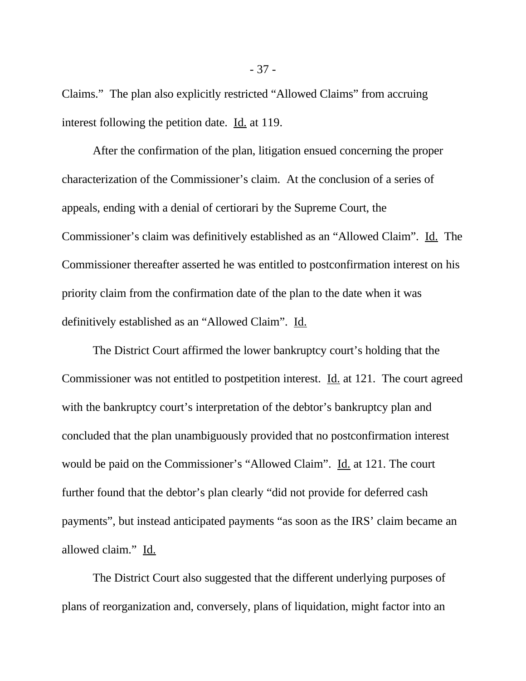Claims." The plan also explicitly restricted "Allowed Claims" from accruing interest following the petition date. Id. at 119.

After the confirmation of the plan, litigation ensued concerning the proper characterization of the Commissioner's claim. At the conclusion of a series of appeals, ending with a denial of certiorari by the Supreme Court, the Commissioner's claim was definitively established as an "Allowed Claim". Id. The Commissioner thereafter asserted he was entitled to postconfirmation interest on his priority claim from the confirmation date of the plan to the date when it was definitively established as an "Allowed Claim". Id.

The District Court affirmed the lower bankruptcy court's holding that the Commissioner was not entitled to postpetition interest. Id. at 121. The court agreed with the bankruptcy court's interpretation of the debtor's bankruptcy plan and concluded that the plan unambiguously provided that no postconfirmation interest would be paid on the Commissioner's "Allowed Claim". Id. at 121. The court further found that the debtor's plan clearly "did not provide for deferred cash payments", but instead anticipated payments "as soon as the IRS' claim became an allowed claim." Id.

The District Court also suggested that the different underlying purposes of plans of reorganization and, conversely, plans of liquidation, might factor into an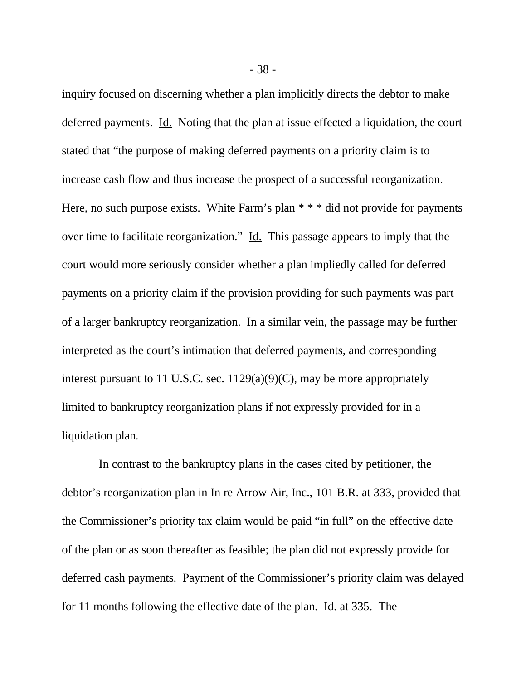inquiry focused on discerning whether a plan implicitly directs the debtor to make deferred payments. Id. Noting that the plan at issue effected a liquidation, the court stated that "the purpose of making deferred payments on a priority claim is to increase cash flow and thus increase the prospect of a successful reorganization. Here, no such purpose exists. White Farm's plan  $***$  did not provide for payments over time to facilitate reorganization." Id. This passage appears to imply that the court would more seriously consider whether a plan impliedly called for deferred payments on a priority claim if the provision providing for such payments was part of a larger bankruptcy reorganization. In a similar vein, the passage may be further interpreted as the court's intimation that deferred payments, and corresponding interest pursuant to 11 U.S.C. sec. 1129(a)(9)(C), may be more appropriately limited to bankruptcy reorganization plans if not expressly provided for in a liquidation plan.

 In contrast to the bankruptcy plans in the cases cited by petitioner, the debtor's reorganization plan in In re Arrow Air, Inc., 101 B.R. at 333, provided that the Commissioner's priority tax claim would be paid "in full" on the effective date of the plan or as soon thereafter as feasible; the plan did not expressly provide for deferred cash payments. Payment of the Commissioner's priority claim was delayed for 11 months following the effective date of the plan. Id. at 335. The

- 38 -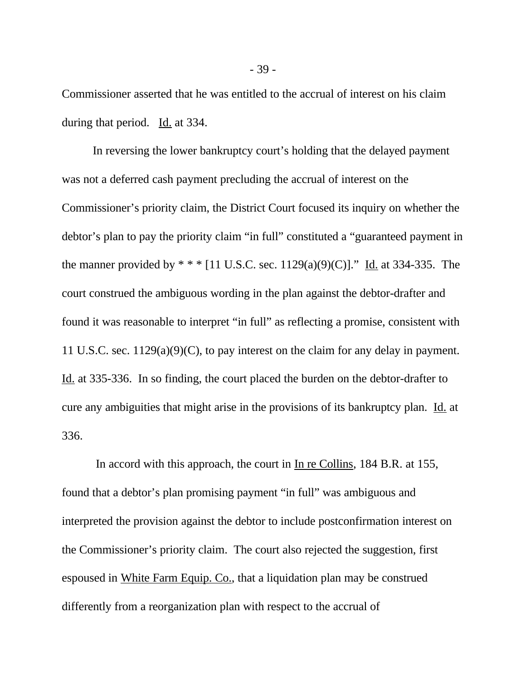Commissioner asserted that he was entitled to the accrual of interest on his claim during that period. Id. at 334.

In reversing the lower bankruptcy court's holding that the delayed payment was not a deferred cash payment precluding the accrual of interest on the Commissioner's priority claim, the District Court focused its inquiry on whether the debtor's plan to pay the priority claim "in full" constituted a "guaranteed payment in the manner provided by \* \* \* [11 U.S.C. sec. 1129(a)(9)(C)]." Id. at 334-335. The court construed the ambiguous wording in the plan against the debtor-drafter and found it was reasonable to interpret "in full" as reflecting a promise, consistent with 11 U.S.C. sec. 1129(a)(9)(C), to pay interest on the claim for any delay in payment. Id. at 335-336. In so finding, the court placed the burden on the debtor-drafter to cure any ambiguities that might arise in the provisions of its bankruptcy plan. Id. at 336.

 In accord with this approach, the court in In re Collins, 184 B.R. at 155, found that a debtor's plan promising payment "in full" was ambiguous and interpreted the provision against the debtor to include postconfirmation interest on the Commissioner's priority claim. The court also rejected the suggestion, first espoused in White Farm Equip. Co., that a liquidation plan may be construed differently from a reorganization plan with respect to the accrual of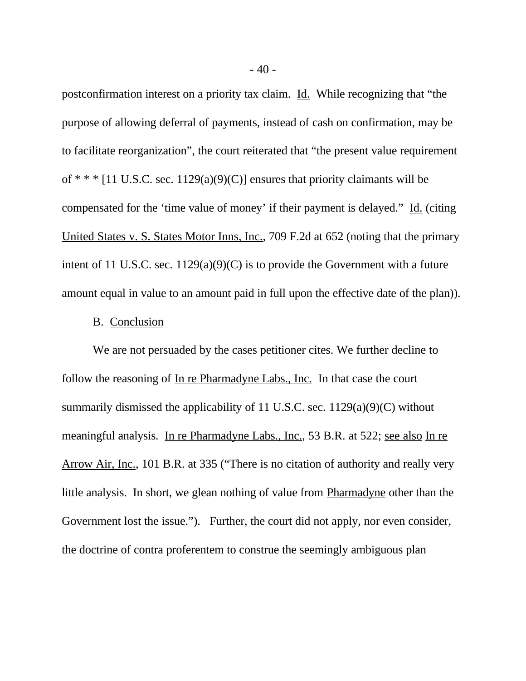postconfirmation interest on a priority tax claim. Id. While recognizing that "the purpose of allowing deferral of payments, instead of cash on confirmation, may be to facilitate reorganization", the court reiterated that "the present value requirement of \* \* \* [11 U.S.C. sec. 1129(a)(9)(C)] ensures that priority claimants will be compensated for the 'time value of money' if their payment is delayed." Id. (citing United States v. S. States Motor Inns, Inc., 709 F.2d at 652 (noting that the primary intent of 11 U.S.C. sec. 1129(a)(9)(C) is to provide the Government with a future amount equal in value to an amount paid in full upon the effective date of the plan)).

#### B. Conclusion

We are not persuaded by the cases petitioner cites. We further decline to follow the reasoning of In re Pharmadyne Labs., Inc. In that case the court summarily dismissed the applicability of 11 U.S.C. sec.  $1129(a)(9)(C)$  without meaningful analysis. In re Pharmadyne Labs., Inc., 53 B.R. at 522; see also In re Arrow Air, Inc., 101 B.R. at 335 ("There is no citation of authority and really very little analysis. In short, we glean nothing of value from Pharmadyne other than the Government lost the issue."). Further, the court did not apply, nor even consider, the doctrine of contra proferentem to construe the seemingly ambiguous plan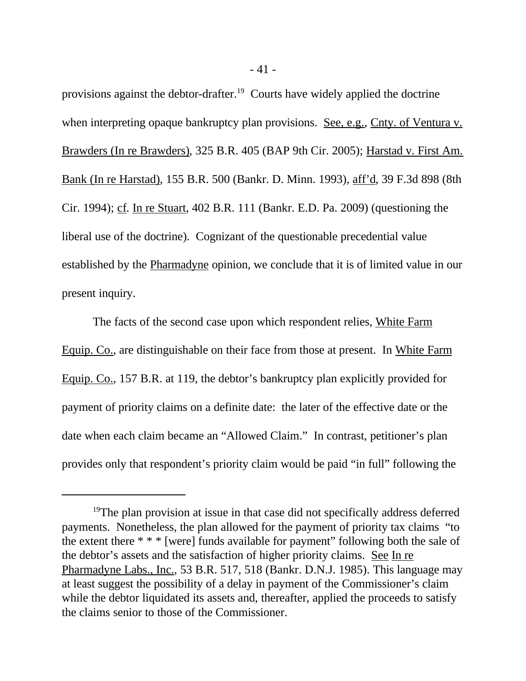provisions against the debtor-drafter.<sup>19</sup> Courts have widely applied the doctrine when interpreting opaque bankruptcy plan provisions. See, e.g., Cnty. of Ventura v. Brawders (In re Brawders), 325 B.R. 405 (BAP 9th Cir. 2005); Harstad v. First Am. Bank (In re Harstad), 155 B.R. 500 (Bankr. D. Minn. 1993), aff'd, 39 F.3d 898 (8th Cir. 1994); cf. In re Stuart, 402 B.R. 111 (Bankr. E.D. Pa. 2009) (questioning the liberal use of the doctrine). Cognizant of the questionable precedential value established by the Pharmadyne opinion, we conclude that it is of limited value in our present inquiry.

The facts of the second case upon which respondent relies, White Farm Equip. Co., are distinguishable on their face from those at present. In White Farm Equip. Co., 157 B.R. at 119, the debtor's bankruptcy plan explicitly provided for payment of priority claims on a definite date: the later of the effective date or the date when each claim became an "Allowed Claim." In contrast, petitioner's plan provides only that respondent's priority claim would be paid "in full" following the

<sup>&</sup>lt;sup>19</sup>The plan provision at issue in that case did not specifically address deferred payments. Nonetheless, the plan allowed for the payment of priority tax claims "to the extent there \* \* \* [were] funds available for payment" following both the sale of the debtor's assets and the satisfaction of higher priority claims. See In re Pharmadyne Labs., Inc., 53 B.R. 517, 518 (Bankr. D.N.J. 1985). This language may at least suggest the possibility of a delay in payment of the Commissioner's claim while the debtor liquidated its assets and, thereafter, applied the proceeds to satisfy the claims senior to those of the Commissioner.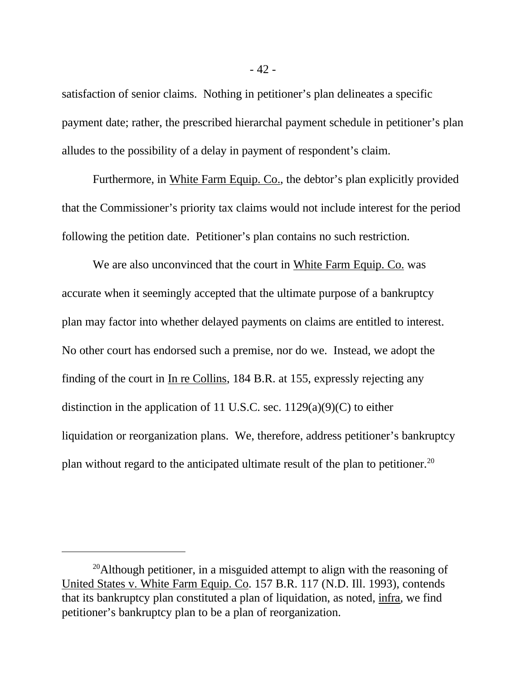satisfaction of senior claims. Nothing in petitioner's plan delineates a specific payment date; rather, the prescribed hierarchal payment schedule in petitioner's plan alludes to the possibility of a delay in payment of respondent's claim.

Furthermore, in White Farm Equip. Co., the debtor's plan explicitly provided that the Commissioner's priority tax claims would not include interest for the period following the petition date. Petitioner's plan contains no such restriction.

We are also unconvinced that the court in White Farm Equip. Co. was accurate when it seemingly accepted that the ultimate purpose of a bankruptcy plan may factor into whether delayed payments on claims are entitled to interest. No other court has endorsed such a premise, nor do we. Instead, we adopt the finding of the court in In re Collins, 184 B.R. at 155, expressly rejecting any distinction in the application of 11 U.S.C. sec.  $1129(a)(9)(C)$  to either liquidation or reorganization plans. We, therefore, address petitioner's bankruptcy plan without regard to the anticipated ultimate result of the plan to petitioner.<sup>20</sup>

<sup>&</sup>lt;sup>20</sup>Although petitioner, in a misguided attempt to align with the reasoning of United States v. White Farm Equip. Co. 157 B.R. 117 (N.D. Ill. 1993), contends that its bankruptcy plan constituted a plan of liquidation, as noted, infra, we find petitioner's bankruptcy plan to be a plan of reorganization.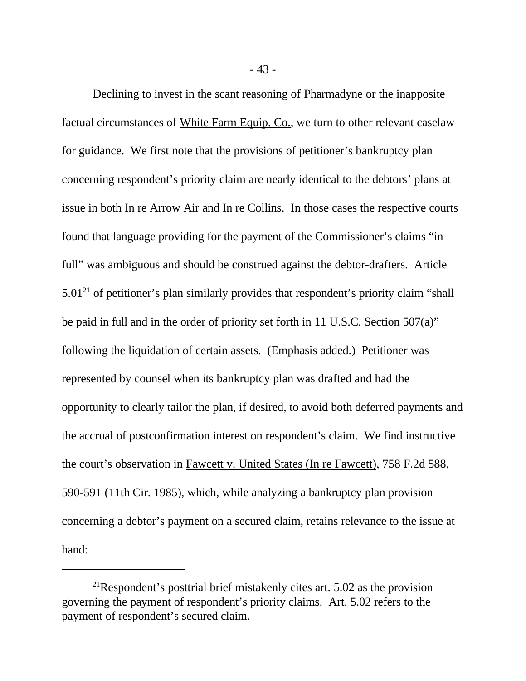Declining to invest in the scant reasoning of Pharmadyne or the inapposite factual circumstances of White Farm Equip. Co., we turn to other relevant caselaw for guidance. We first note that the provisions of petitioner's bankruptcy plan concerning respondent's priority claim are nearly identical to the debtors' plans at issue in both In re Arrow Air and In re Collins. In those cases the respective courts found that language providing for the payment of the Commissioner's claims "in full" was ambiguous and should be construed against the debtor-drafters. Article  $5.01<sup>21</sup>$  of petitioner's plan similarly provides that respondent's priority claim "shall be paid in full and in the order of priority set forth in 11 U.S.C. Section 507(a)" following the liquidation of certain assets. (Emphasis added.) Petitioner was represented by counsel when its bankruptcy plan was drafted and had the opportunity to clearly tailor the plan, if desired, to avoid both deferred payments and the accrual of postconfirmation interest on respondent's claim. We find instructive the court's observation in Fawcett v. United States (In re Fawcett), 758 F.2d 588, 590-591 (11th Cir. 1985), which, while analyzing a bankruptcy plan provision concerning a debtor's payment on a secured claim, retains relevance to the issue at hand:

<sup>&</sup>lt;sup>21</sup>Respondent's posttrial brief mistakenly cites art.  $5.02$  as the provision governing the payment of respondent's priority claims. Art. 5.02 refers to the payment of respondent's secured claim.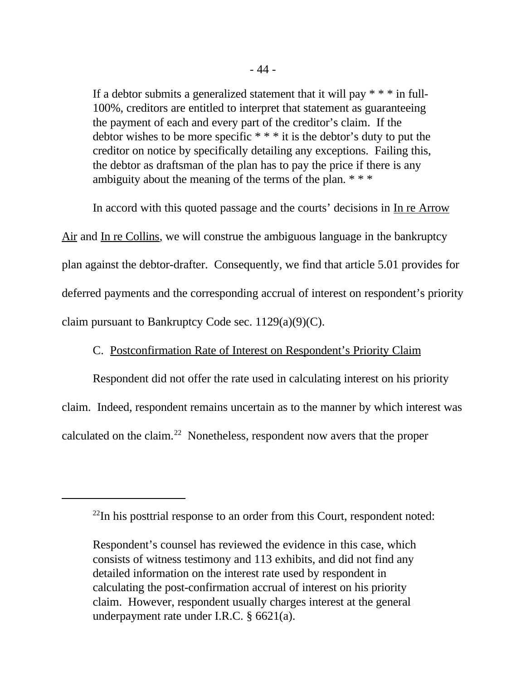If a debtor submits a generalized statement that it will pay  $* * *$  in full-100%, creditors are entitled to interpret that statement as guaranteeing the payment of each and every part of the creditor's claim. If the debtor wishes to be more specific  $***$  it is the debtor's duty to put the creditor on notice by specifically detailing any exceptions. Failing this, the debtor as draftsman of the plan has to pay the price if there is any ambiguity about the meaning of the terms of the plan. \* \* \*

In accord with this quoted passage and the courts' decisions in In re Arrow Air and In re Collins, we will construe the ambiguous language in the bankruptcy plan against the debtor-drafter. Consequently, we find that article 5.01 provides for deferred payments and the corresponding accrual of interest on respondent's priority claim pursuant to Bankruptcy Code sec.  $1129(a)(9)(C)$ .

## C. Postconfirmation Rate of Interest on Respondent's Priority Claim

Respondent did not offer the rate used in calculating interest on his priority claim. Indeed, respondent remains uncertain as to the manner by which interest was calculated on the claim.<sup>22</sup> Nonetheless, respondent now avers that the proper

 $^{22}$ In his posttrial response to an order from this Court, respondent noted:

Respondent's counsel has reviewed the evidence in this case, which consists of witness testimony and 113 exhibits, and did not find any detailed information on the interest rate used by respondent in calculating the post-confirmation accrual of interest on his priority claim. However, respondent usually charges interest at the general underpayment rate under I.R.C. § 6621(a).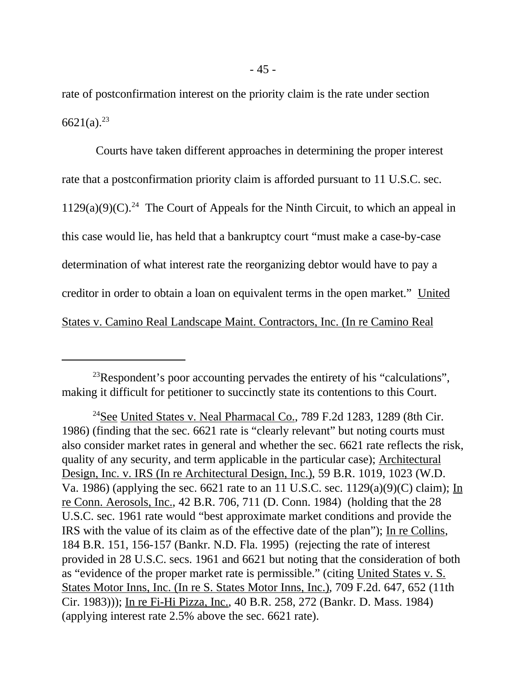rate of postconfirmation interest on the priority claim is the rate under section  $6621(a).^{23}$ 

 Courts have taken different approaches in determining the proper interest rate that a postconfirmation priority claim is afforded pursuant to 11 U.S.C. sec.  $1129(a)(9)(C)^{24}$  The Court of Appeals for the Ninth Circuit, to which an appeal in this case would lie, has held that a bankruptcy court "must make a case-by-case determination of what interest rate the reorganizing debtor would have to pay a creditor in order to obtain a loan on equivalent terms in the open market." United States v. Camino Real Landscape Maint. Contractors, Inc. (In re Camino Real

 $^{23}$ Respondent's poor accounting pervades the entirety of his "calculations", making it difficult for petitioner to succinctly state its contentions to this Court.

<sup>&</sup>lt;sup>24</sup>See United States v. Neal Pharmacal Co., 789 F.2d 1283, 1289 (8th Cir. 1986) (finding that the sec. 6621 rate is "clearly relevant" but noting courts must also consider market rates in general and whether the sec. 6621 rate reflects the risk, quality of any security, and term applicable in the particular case); Architectural Design, Inc. v. IRS (In re Architectural Design, Inc.), 59 B.R. 1019, 1023 (W.D. Va. 1986) (applying the sec. 6621 rate to an 11 U.S.C. sec. 1129(a)(9)(C) claim); In re Conn. Aerosols, Inc., 42 B.R. 706, 711 (D. Conn. 1984) (holding that the 28 U.S.C. sec. 1961 rate would "best approximate market conditions and provide the IRS with the value of its claim as of the effective date of the plan"); In re Collins, 184 B.R. 151, 156-157 (Bankr. N.D. Fla. 1995) (rejecting the rate of interest provided in 28 U.S.C. secs. 1961 and 6621 but noting that the consideration of both as "evidence of the proper market rate is permissible." (citing United States v. S. States Motor Inns, Inc. (In re S. States Motor Inns, Inc.), 709 F.2d. 647, 652 (11th Cir. 1983))); In re Fi-Hi Pizza, Inc., 40 B.R. 258, 272 (Bankr. D. Mass. 1984) (applying interest rate 2.5% above the sec. 6621 rate).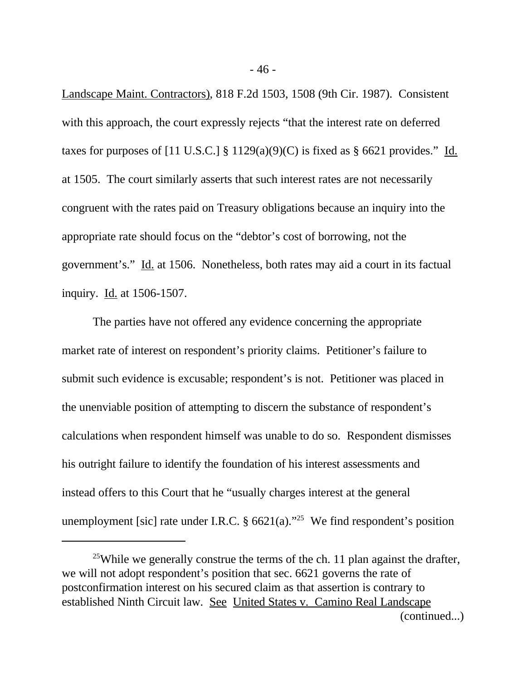Landscape Maint. Contractors), 818 F.2d 1503, 1508 (9th Cir. 1987). Consistent with this approach, the court expressly rejects "that the interest rate on deferred taxes for purposes of [11 U.S.C.]  $\S 1129(a)(9)(C)$  is fixed as  $\S 6621$  provides." Id. at 1505. The court similarly asserts that such interest rates are not necessarily congruent with the rates paid on Treasury obligations because an inquiry into the appropriate rate should focus on the "debtor's cost of borrowing, not the government's." Id. at 1506. Nonetheless, both rates may aid a court in its factual inquiry. Id. at 1506-1507.

The parties have not offered any evidence concerning the appropriate market rate of interest on respondent's priority claims. Petitioner's failure to submit such evidence is excusable; respondent's is not. Petitioner was placed in the unenviable position of attempting to discern the substance of respondent's calculations when respondent himself was unable to do so. Respondent dismisses his outright failure to identify the foundation of his interest assessments and instead offers to this Court that he "usually charges interest at the general unemployment [sic] rate under I.R.C.  $\S$  6621(a).<sup> $25$ </sup> We find respondent's position

<sup>&</sup>lt;sup>25</sup>While we generally construe the terms of the ch. 11 plan against the drafter, we will not adopt respondent's position that sec. 6621 governs the rate of postconfirmation interest on his secured claim as that assertion is contrary to established Ninth Circuit law. See United States v. Camino Real Landscape (continued...)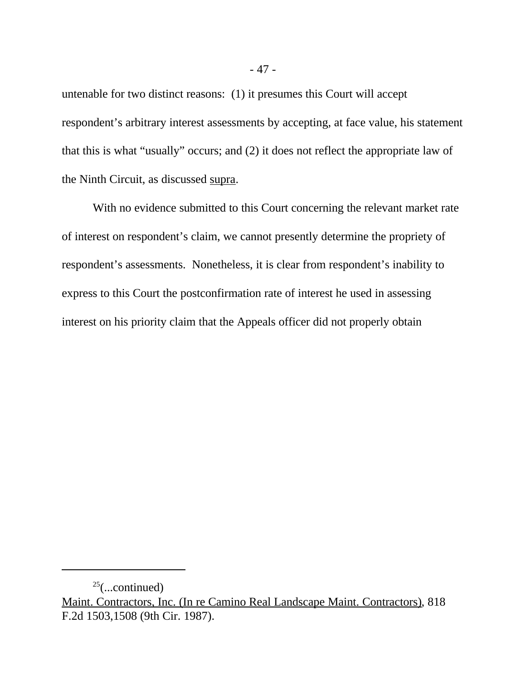untenable for two distinct reasons: (1) it presumes this Court will accept respondent's arbitrary interest assessments by accepting, at face value, his statement that this is what "usually" occurs; and (2) it does not reflect the appropriate law of the Ninth Circuit, as discussed supra.

With no evidence submitted to this Court concerning the relevant market rate of interest on respondent's claim, we cannot presently determine the propriety of respondent's assessments. Nonetheless, it is clear from respondent's inability to express to this Court the postconfirmation rate of interest he used in assessing interest on his priority claim that the Appeals officer did not properly obtain

 $25$ (...continued)

Maint. Contractors, Inc. (In re Camino Real Landscape Maint. Contractors), 818 F.2d 1503,1508 (9th Cir. 1987).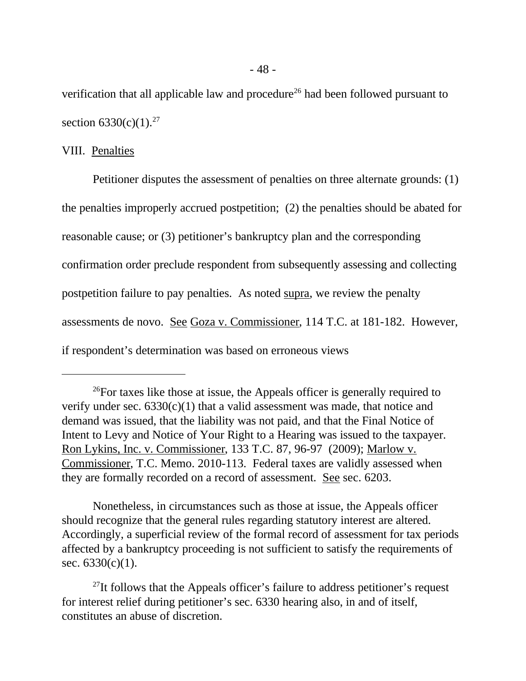verification that all applicable law and procedure<sup>26</sup> had been followed pursuant to section  $6330(c)(1).^{27}$ 

#### VIII. Penalties

Petitioner disputes the assessment of penalties on three alternate grounds: (1) the penalties improperly accrued postpetition; (2) the penalties should be abated for reasonable cause; or (3) petitioner's bankruptcy plan and the corresponding confirmation order preclude respondent from subsequently assessing and collecting postpetition failure to pay penalties. As noted supra, we review the penalty assessments de novo. See Goza v. Commissioner, 114 T.C. at 181-182. However, if respondent's determination was based on erroneous views

Nonetheless, in circumstances such as those at issue, the Appeals officer should recognize that the general rules regarding statutory interest are altered. Accordingly, a superficial review of the formal record of assessment for tax periods affected by a bankruptcy proceeding is not sufficient to satisfy the requirements of sec.  $6330(c)(1)$ .

 $^{27}$ It follows that the Appeals officer's failure to address petitioner's request for interest relief during petitioner's sec. 6330 hearing also, in and of itself, constitutes an abuse of discretion.

<sup>&</sup>lt;sup>26</sup>For taxes like those at issue, the Appeals officer is generally required to verify under sec.  $6330(c)(1)$  that a valid assessment was made, that notice and demand was issued, that the liability was not paid, and that the Final Notice of Intent to Levy and Notice of Your Right to a Hearing was issued to the taxpayer. Ron Lykins, Inc. v. Commissioner, 133 T.C. 87, 96-97 (2009); Marlow v. Commissioner, T.C. Memo. 2010-113. Federal taxes are validly assessed when they are formally recorded on a record of assessment. See sec. 6203.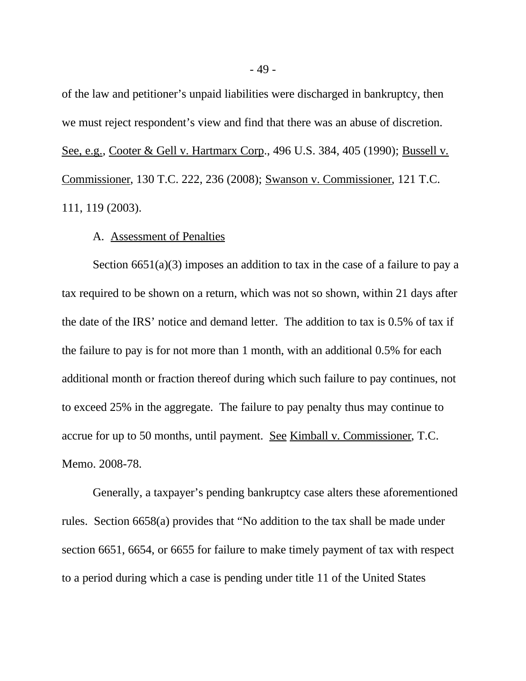of the law and petitioner's unpaid liabilities were discharged in bankruptcy, then we must reject respondent's view and find that there was an abuse of discretion. See, e.g., Cooter & Gell v. Hartmarx Corp., 496 U.S. 384, 405 (1990); Bussell v. Commissioner, 130 T.C. 222, 236 (2008); Swanson v. Commissioner, 121 T.C. 111, 119 (2003).

## A. Assessment of Penalties

Section  $6651(a)(3)$  imposes an addition to tax in the case of a failure to pay a tax required to be shown on a return, which was not so shown, within 21 days after the date of the IRS' notice and demand letter. The addition to tax is 0.5% of tax if the failure to pay is for not more than 1 month, with an additional 0.5% for each additional month or fraction thereof during which such failure to pay continues, not to exceed 25% in the aggregate. The failure to pay penalty thus may continue to accrue for up to 50 months, until payment. See Kimball v. Commissioner, T.C. Memo. 2008-78.

Generally, a taxpayer's pending bankruptcy case alters these aforementioned rules. Section 6658(a) provides that "No addition to the tax shall be made under section 6651, 6654, or 6655 for failure to make timely payment of tax with respect to a period during which a case is pending under title 11 of the United States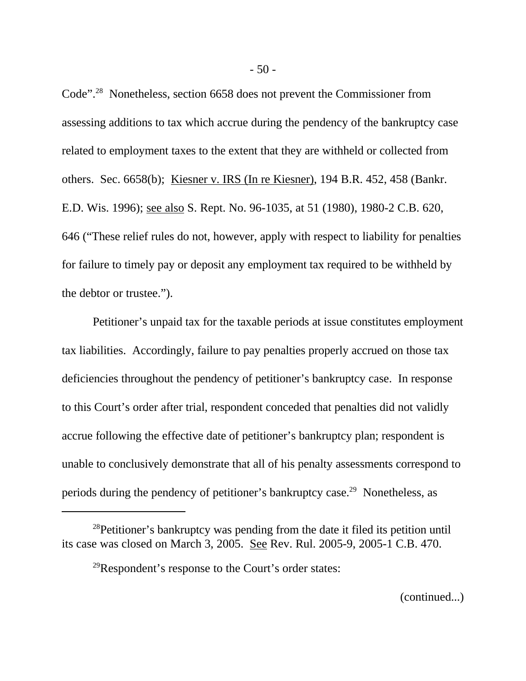Code".<sup>28</sup> Nonetheless, section 6658 does not prevent the Commissioner from assessing additions to tax which accrue during the pendency of the bankruptcy case related to employment taxes to the extent that they are withheld or collected from others. Sec. 6658(b); Kiesner v. IRS (In re Kiesner), 194 B.R. 452, 458 (Bankr. E.D. Wis. 1996); see also S. Rept. No. 96-1035, at 51 (1980), 1980-2 C.B. 620, 646 ("These relief rules do not, however, apply with respect to liability for penalties for failure to timely pay or deposit any employment tax required to be withheld by the debtor or trustee.").

Petitioner's unpaid tax for the taxable periods at issue constitutes employment tax liabilities. Accordingly, failure to pay penalties properly accrued on those tax deficiencies throughout the pendency of petitioner's bankruptcy case. In response to this Court's order after trial, respondent conceded that penalties did not validly accrue following the effective date of petitioner's bankruptcy plan; respondent is unable to conclusively demonstrate that all of his penalty assessments correspond to periods during the pendency of petitioner's bankruptcy case.<sup>29</sup> Nonetheless, as

<sup>28</sup>Petitioner's bankruptcy was pending from the date it filed its petition until its case was closed on March 3, 2005. See Rev. Rul. 2005-9, 2005-1 C.B. 470.

 $^{29}$ Respondent's response to the Court's order states: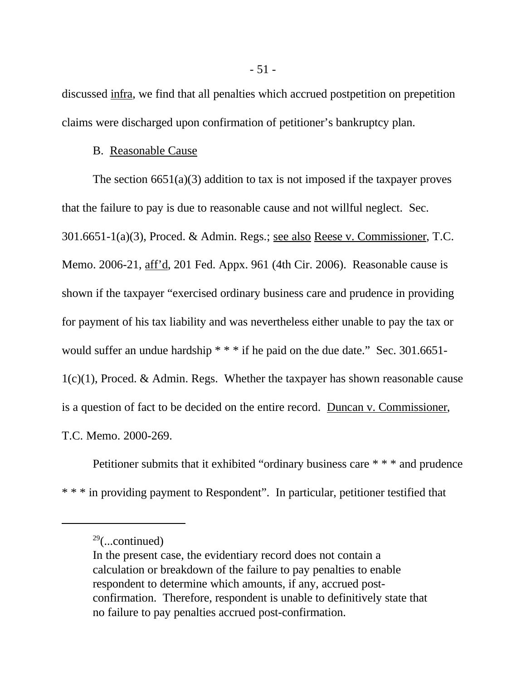discussed infra, we find that all penalties which accrued postpetition on prepetition claims were discharged upon confirmation of petitioner's bankruptcy plan.

#### B. Reasonable Cause

The section  $6651(a)(3)$  addition to tax is not imposed if the taxpayer proves that the failure to pay is due to reasonable cause and not willful neglect. Sec. 301.6651-1(a)(3), Proced. & Admin. Regs.; see also Reese v. Commissioner, T.C. Memo. 2006-21, aff'd, 201 Fed. Appx. 961 (4th Cir. 2006). Reasonable cause is shown if the taxpayer "exercised ordinary business care and prudence in providing for payment of his tax liability and was nevertheless either unable to pay the tax or would suffer an undue hardship  $***$  if he paid on the due date." Sec. 301.6651- $1(c)(1)$ , Proced. & Admin. Regs. Whether the taxpayer has shown reasonable cause is a question of fact to be decided on the entire record. Duncan v. Commissioner, T.C. Memo. 2000-269.

Petitioner submits that it exhibited "ordinary business care \* \* \* and prudence \* \* \* in providing payment to Respondent". In particular, petitioner testified that

 $29$ (...continued)

In the present case, the evidentiary record does not contain a calculation or breakdown of the failure to pay penalties to enable respondent to determine which amounts, if any, accrued postconfirmation. Therefore, respondent is unable to definitively state that no failure to pay penalties accrued post-confirmation.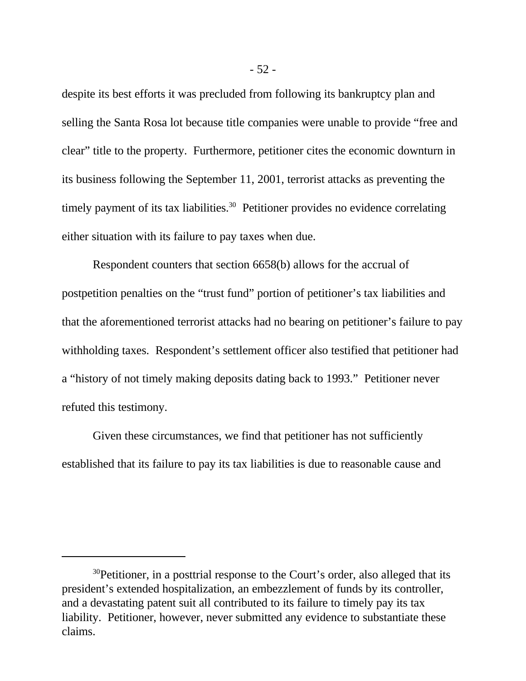despite its best efforts it was precluded from following its bankruptcy plan and selling the Santa Rosa lot because title companies were unable to provide "free and clear" title to the property. Furthermore, petitioner cites the economic downturn in its business following the September 11, 2001, terrorist attacks as preventing the timely payment of its tax liabilities.<sup>30</sup> Petitioner provides no evidence correlating either situation with its failure to pay taxes when due.

Respondent counters that section 6658(b) allows for the accrual of postpetition penalties on the "trust fund" portion of petitioner's tax liabilities and that the aforementioned terrorist attacks had no bearing on petitioner's failure to pay withholding taxes. Respondent's settlement officer also testified that petitioner had a "history of not timely making deposits dating back to 1993." Petitioner never refuted this testimony.

Given these circumstances, we find that petitioner has not sufficiently established that its failure to pay its tax liabilities is due to reasonable cause and

<sup>30</sup>Petitioner, in a posttrial response to the Court's order, also alleged that its president's extended hospitalization, an embezzlement of funds by its controller, and a devastating patent suit all contributed to its failure to timely pay its tax liability. Petitioner, however, never submitted any evidence to substantiate these claims.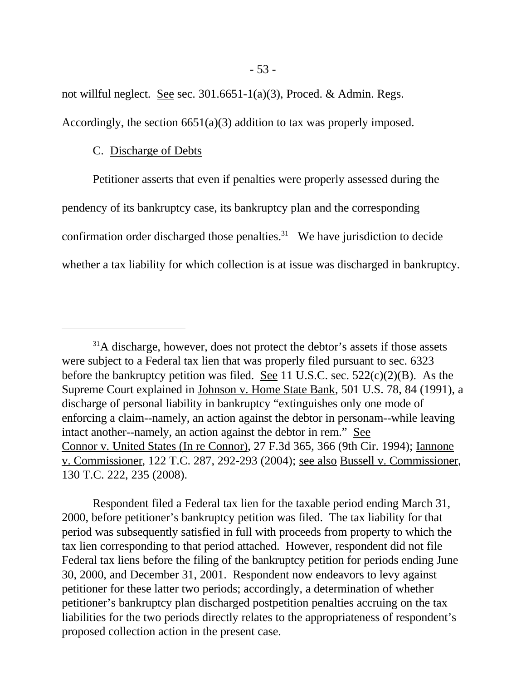not willful neglect. See sec.  $301.6651-1(a)(3)$ , Proced. & Admin. Regs. Accordingly, the section 6651(a)(3) addition to tax was properly imposed.

#### C. Discharge of Debts

Petitioner asserts that even if penalties were properly assessed during the pendency of its bankruptcy case, its bankruptcy plan and the corresponding confirmation order discharged those penalties.<sup>31</sup> We have jurisdiction to decide whether a tax liability for which collection is at issue was discharged in bankruptcy.

Respondent filed a Federal tax lien for the taxable period ending March 31, 2000, before petitioner's bankruptcy petition was filed. The tax liability for that period was subsequently satisfied in full with proceeds from property to which the tax lien corresponding to that period attached. However, respondent did not file Federal tax liens before the filing of the bankruptcy petition for periods ending June 30, 2000, and December 31, 2001. Respondent now endeavors to levy against petitioner for these latter two periods; accordingly, a determination of whether petitioner's bankruptcy plan discharged postpetition penalties accruing on the tax liabilities for the two periods directly relates to the appropriateness of respondent's proposed collection action in the present case.

 $31A$  discharge, however, does not protect the debtor's assets if those assets were subject to a Federal tax lien that was properly filed pursuant to sec. 6323 before the bankruptcy petition was filed. See 11 U.S.C. sec.  $522(c)(2)(B)$ . As the Supreme Court explained in Johnson v. Home State Bank, 501 U.S. 78, 84 (1991), a discharge of personal liability in bankruptcy "extinguishes only one mode of enforcing a claim--namely, an action against the debtor in personam--while leaving intact another--namely, an action against the debtor in rem." See Connor v. United States (In re Connor), 27 F.3d 365, 366 (9th Cir. 1994); Iannone v. Commissioner, 122 T.C. 287, 292-293 (2004); see also Bussell v. Commissioner, 130 T.C. 222, 235 (2008).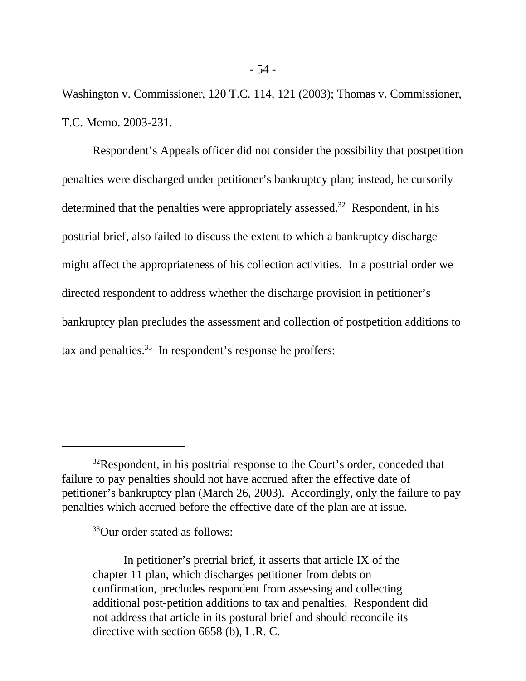Washington v. Commissioner, 120 T.C. 114, 121 (2003); Thomas v. Commissioner, T.C. Memo. 2003-231.

Respondent's Appeals officer did not consider the possibility that postpetition penalties were discharged under petitioner's bankruptcy plan; instead, he cursorily determined that the penalties were appropriately assessed.<sup>32</sup> Respondent, in his posttrial brief, also failed to discuss the extent to which a bankruptcy discharge might affect the appropriateness of his collection activities. In a posttrial order we directed respondent to address whether the discharge provision in petitioner's bankruptcy plan precludes the assessment and collection of postpetition additions to tax and penalties. $33$  In respondent's response he proffers:

<sup>33</sup>Our order stated as follows:

 $32$ Respondent, in his posttrial response to the Court's order, conceded that failure to pay penalties should not have accrued after the effective date of petitioner's bankruptcy plan (March 26, 2003). Accordingly, only the failure to pay penalties which accrued before the effective date of the plan are at issue.

In petitioner's pretrial brief, it asserts that article IX of the chapter 11 plan, which discharges petitioner from debts on confirmation, precludes respondent from assessing and collecting additional post-petition additions to tax and penalties. Respondent did not address that article in its postural brief and should reconcile its directive with section 6658 (b), I .R. C.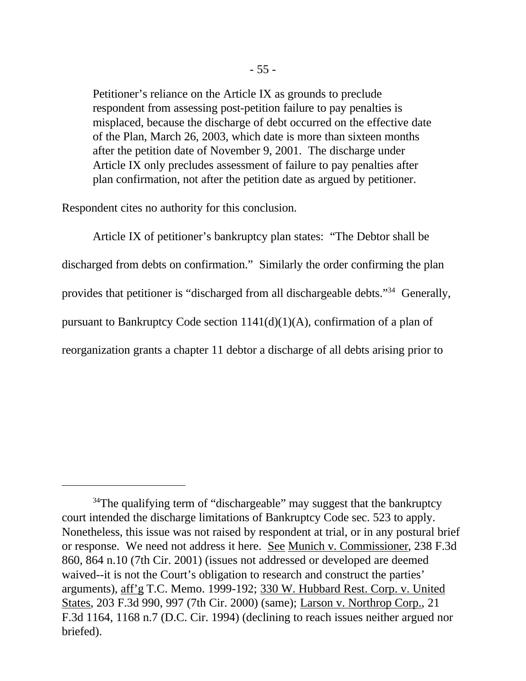Petitioner's reliance on the Article IX as grounds to preclude respondent from assessing post-petition failure to pay penalties is misplaced, because the discharge of debt occurred on the effective date of the Plan, March 26, 2003, which date is more than sixteen months after the petition date of November 9, 2001. The discharge under Article IX only precludes assessment of failure to pay penalties after plan confirmation, not after the petition date as argued by petitioner.

Respondent cites no authority for this conclusion.

Article IX of petitioner's bankruptcy plan states: "The Debtor shall be discharged from debts on confirmation." Similarly the order confirming the plan provides that petitioner is "discharged from all dischargeable debts."<sup>34</sup> Generally, pursuant to Bankruptcy Code section 1141(d)(1)(A), confirmation of a plan of reorganization grants a chapter 11 debtor a discharge of all debts arising prior to

<sup>&</sup>lt;sup>34</sup>The qualifying term of "dischargeable" may suggest that the bankruptcy court intended the discharge limitations of Bankruptcy Code sec. 523 to apply. Nonetheless, this issue was not raised by respondent at trial, or in any postural brief or response. We need not address it here. See Munich v. Commissioner, 238 F.3d 860, 864 n.10 (7th Cir. 2001) (issues not addressed or developed are deemed waived--it is not the Court's obligation to research and construct the parties' arguments), aff'g T.C. Memo. 1999-192; 330 W. Hubbard Rest. Corp. v. United States, 203 F.3d 990, 997 (7th Cir. 2000) (same); Larson v. Northrop Corp., 21 F.3d 1164, 1168 n.7 (D.C. Cir. 1994) (declining to reach issues neither argued nor briefed).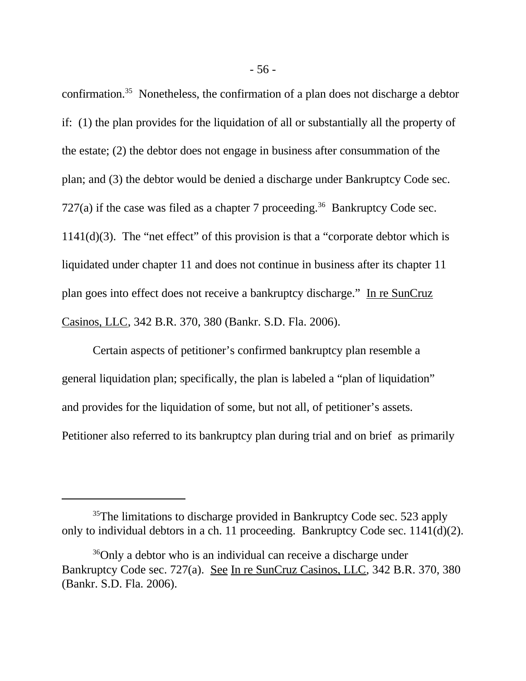confirmation.<sup>35</sup> Nonetheless, the confirmation of a plan does not discharge a debtor if: (1) the plan provides for the liquidation of all or substantially all the property of the estate; (2) the debtor does not engage in business after consummation of the plan; and (3) the debtor would be denied a discharge under Bankruptcy Code sec. 727(a) if the case was filed as a chapter 7 proceeding.<sup>36</sup> Bankruptcy Code sec. 1141(d)(3). The "net effect" of this provision is that a "corporate debtor which is liquidated under chapter 11 and does not continue in business after its chapter 11 plan goes into effect does not receive a bankruptcy discharge." In re SunCruz Casinos, LLC, 342 B.R. 370, 380 (Bankr. S.D. Fla. 2006).

Certain aspects of petitioner's confirmed bankruptcy plan resemble a general liquidation plan; specifically, the plan is labeled a "plan of liquidation" and provides for the liquidation of some, but not all, of petitioner's assets. Petitioner also referred to its bankruptcy plan during trial and on brief as primarily

<sup>&</sup>lt;sup>35</sup>The limitations to discharge provided in Bankruptcy Code sec. 523 apply only to individual debtors in a ch. 11 proceeding. Bankruptcy Code sec. 1141(d)(2).

<sup>&</sup>lt;sup>36</sup>Only a debtor who is an individual can receive a discharge under Bankruptcy Code sec. 727(a). See In re SunCruz Casinos, LLC, 342 B.R. 370, 380 (Bankr. S.D. Fla. 2006).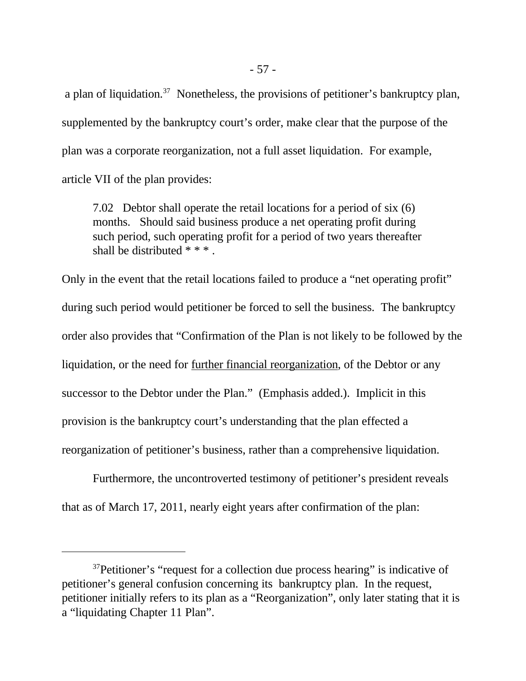a plan of liquidation.<sup>37</sup> Nonetheless, the provisions of petitioner's bankruptcy plan, supplemented by the bankruptcy court's order, make clear that the purpose of the plan was a corporate reorganization, not a full asset liquidation. For example, article VII of the plan provides:

7.02 Debtor shall operate the retail locations for a period of six (6) months. Should said business produce a net operating profit during such period, such operating profit for a period of two years thereafter shall be distributed \* \* \* .

Only in the event that the retail locations failed to produce a "net operating profit" during such period would petitioner be forced to sell the business. The bankruptcy order also provides that "Confirmation of the Plan is not likely to be followed by the liquidation, or the need for further financial reorganization, of the Debtor or any successor to the Debtor under the Plan." (Emphasis added.). Implicit in this provision is the bankruptcy court's understanding that the plan effected a reorganization of petitioner's business, rather than a comprehensive liquidation.

Furthermore, the uncontroverted testimony of petitioner's president reveals that as of March 17, 2011, nearly eight years after confirmation of the plan:

 $37$ Petitioner's "request for a collection due process hearing" is indicative of petitioner's general confusion concerning its bankruptcy plan. In the request, petitioner initially refers to its plan as a "Reorganization", only later stating that it is a "liquidating Chapter 11 Plan".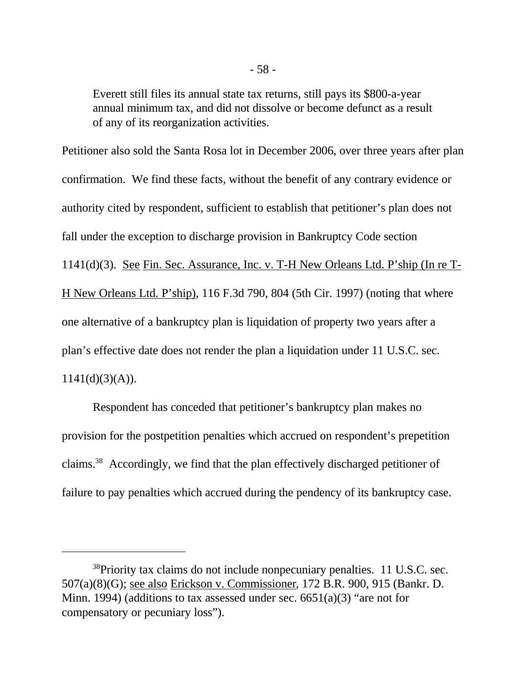Everett still files its annual state tax returns, still pays its \$800-a-year annual minimum tax, and did not dissolve or become defunct as a result of any of its reorganization activities.

Petitioner also sold the Santa Rosa lot in December 2006, over three years after plan confirmation. We find these facts, without the benefit of any contrary evidence or authority cited by respondent, sufficient to establish that petitioner's plan does not fall under the exception to discharge provision in Bankruptcy Code section 1141(d)(3). See Fin. Sec. Assurance, Inc. v. T-H New Orleans Ltd. P'ship (In re T-H New Orleans Ltd. P'ship), 116 F.3d 790, 804 (5th Cir. 1997) (noting that where one alternative of a bankruptcy plan is liquidation of property two years after a plan's effective date does not render the plan a liquidation under 11 U.S.C. sec.  $1141(d)(3)(A)).$ 

Respondent has conceded that petitioner's bankruptcy plan makes no provision for the postpetition penalties which accrued on respondent's prepetition claims.<sup>38</sup> Accordingly, we find that the plan effectively discharged petitioner of failure to pay penalties which accrued during the pendency of its bankruptcy case.

 $38$ Priority tax claims do not include nonpecuniary penalties. 11 U.S.C. sec. 507(a)(8)(G); see also Erickson v. Commissioner, 172 B.R. 900, 915 (Bankr. D. Minn. 1994) (additions to tax assessed under sec.  $6651(a)(3)$  "are not for compensatory or pecuniary loss").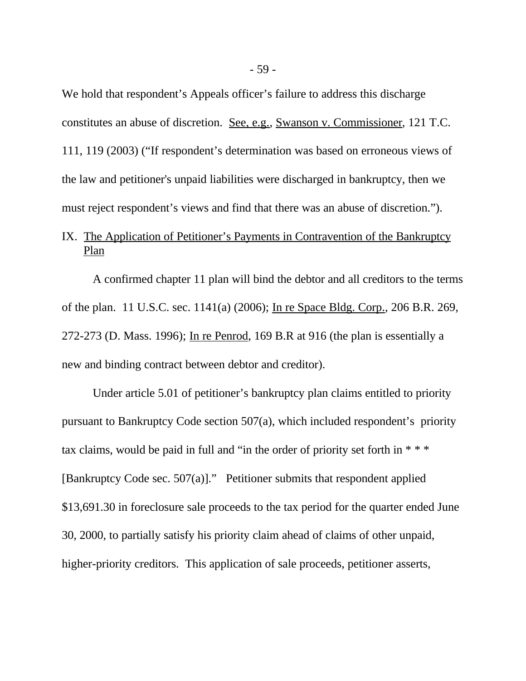We hold that respondent's Appeals officer's failure to address this discharge constitutes an abuse of discretion. See, e.g., Swanson v. Commissioner, 121 T.C. 111, 119 (2003) ("If respondent's determination was based on erroneous views of the law and petitioner's unpaid liabilities were discharged in bankruptcy, then we must reject respondent's views and find that there was an abuse of discretion.").

# IX. The Application of Petitioner's Payments in Contravention of the Bankruptcy Plan

A confirmed chapter 11 plan will bind the debtor and all creditors to the terms of the plan. 11 U.S.C. sec. 1141(a) (2006); In re Space Bldg. Corp., 206 B.R. 269, 272-273 (D. Mass. 1996); In re Penrod, 169 B.R at 916 (the plan is essentially a new and binding contract between debtor and creditor).

Under article 5.01 of petitioner's bankruptcy plan claims entitled to priority pursuant to Bankruptcy Code section 507(a), which included respondent's priority tax claims, would be paid in full and "in the order of priority set forth in  $***$ [Bankruptcy Code sec. 507(a)]." Petitioner submits that respondent applied \$13,691.30 in foreclosure sale proceeds to the tax period for the quarter ended June 30, 2000, to partially satisfy his priority claim ahead of claims of other unpaid, higher-priority creditors. This application of sale proceeds, petitioner asserts,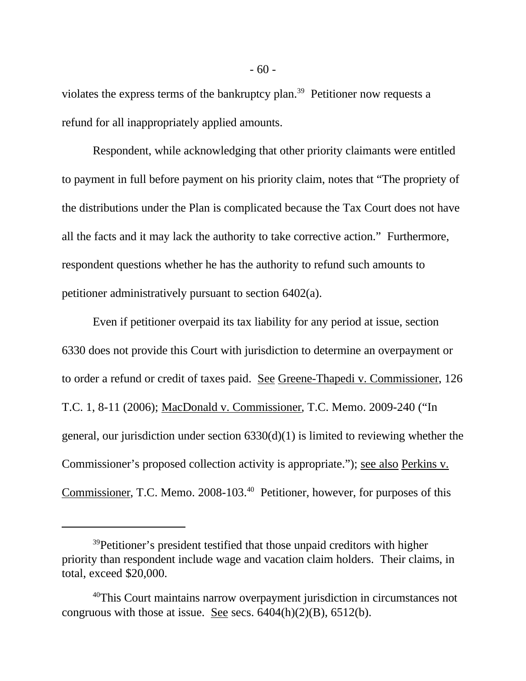violates the express terms of the bankruptcy plan.<sup>39</sup> Petitioner now requests a refund for all inappropriately applied amounts.

Respondent, while acknowledging that other priority claimants were entitled to payment in full before payment on his priority claim, notes that "The propriety of the distributions under the Plan is complicated because the Tax Court does not have all the facts and it may lack the authority to take corrective action." Furthermore, respondent questions whether he has the authority to refund such amounts to petitioner administratively pursuant to section 6402(a).

Even if petitioner overpaid its tax liability for any period at issue, section 6330 does not provide this Court with jurisdiction to determine an overpayment or to order a refund or credit of taxes paid. See Greene-Thapedi v. Commissioner, 126 T.C. 1, 8-11 (2006); MacDonald v. Commissioner, T.C. Memo. 2009-240 ("In general, our jurisdiction under section 6330(d)(1) is limited to reviewing whether the Commissioner's proposed collection activity is appropriate."); see also Perkins v. Commissioner, T.C. Memo. 2008-103.<sup>40</sup> Petitioner, however, for purposes of this

<sup>&</sup>lt;sup>39</sup>Petitioner's president testified that those unpaid creditors with higher priority than respondent include wage and vacation claim holders. Their claims, in total, exceed \$20,000.

<sup>&</sup>lt;sup>40</sup>This Court maintains narrow overpayment jurisdiction in circumstances not congruous with those at issue. See secs.  $6404(h)(2)(B)$ ,  $6512(h)$ .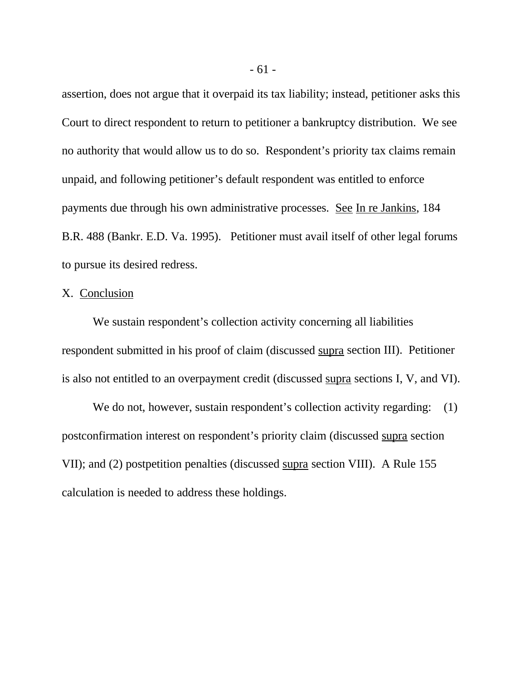assertion, does not argue that it overpaid its tax liability; instead, petitioner asks this Court to direct respondent to return to petitioner a bankruptcy distribution. We see no authority that would allow us to do so. Respondent's priority tax claims remain unpaid, and following petitioner's default respondent was entitled to enforce payments due through his own administrative processes. See In re Jankins, 184 B.R. 488 (Bankr. E.D. Va. 1995). Petitioner must avail itself of other legal forums to pursue its desired redress.

### X. Conclusion

We sustain respondent's collection activity concerning all liabilities respondent submitted in his proof of claim (discussed supra section III). Petitioner is also not entitled to an overpayment credit (discussed supra sections I, V, and VI).

We do not, however, sustain respondent's collection activity regarding: (1) postconfirmation interest on respondent's priority claim (discussed supra section VII); and (2) postpetition penalties (discussed supra section VIII). A Rule 155 calculation is needed to address these holdings.